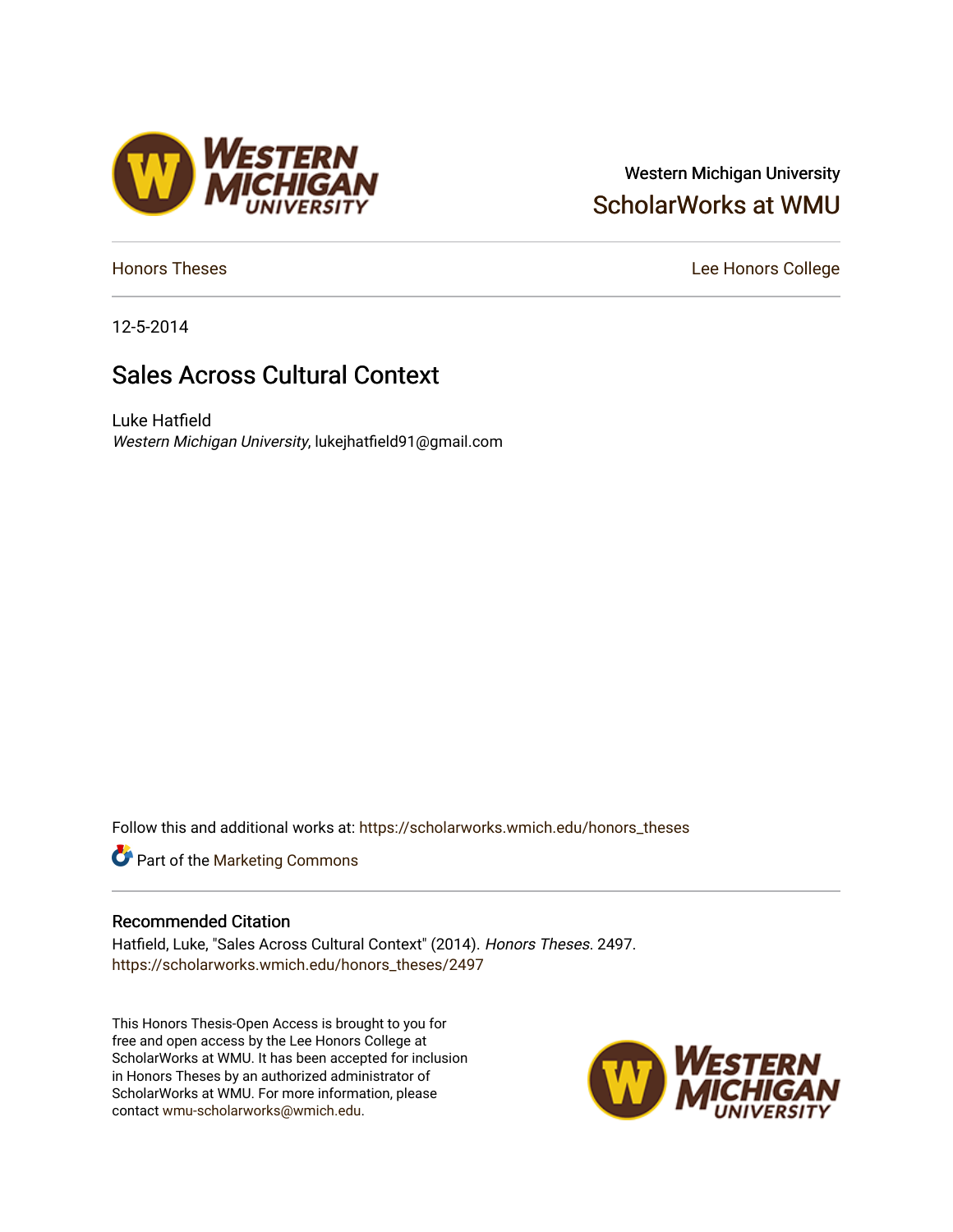# Western Michigan University [ScholarWorks at WMU](https://scholarworks.wmich.edu/)

[Honors Theses](https://scholarworks.wmich.edu/honors_theses) **Lee Honors** College

12-5-2014

# Sales Across Cultural Context

Luke Hatfield Western Michigan University, lukejhatfield91@gmail.com

Follow this and additional works at: [https://scholarworks.wmich.edu/honors\\_theses](https://scholarworks.wmich.edu/honors_theses?utm_source=scholarworks.wmich.edu%2Fhonors_theses%2F2497&utm_medium=PDF&utm_campaign=PDFCoverPages)

**Part of the [Marketing Commons](http://network.bepress.com/hgg/discipline/638?utm_source=scholarworks.wmich.edu%2Fhonors_theses%2F2497&utm_medium=PDF&utm_campaign=PDFCoverPages)** 

#### Recommended Citation

Hatfield, Luke, "Sales Across Cultural Context" (2014). Honors Theses. 2497. [https://scholarworks.wmich.edu/honors\\_theses/2497](https://scholarworks.wmich.edu/honors_theses/2497?utm_source=scholarworks.wmich.edu%2Fhonors_theses%2F2497&utm_medium=PDF&utm_campaign=PDFCoverPages) 

This Honors Thesis-Open Access is brought to you for free and open access by the Lee Honors College at ScholarWorks at WMU. It has been accepted for inclusion in Honors Theses by an authorized administrator of ScholarWorks at WMU. For more information, please contact [wmu-scholarworks@wmich.edu](mailto:wmu-scholarworks@wmich.edu).



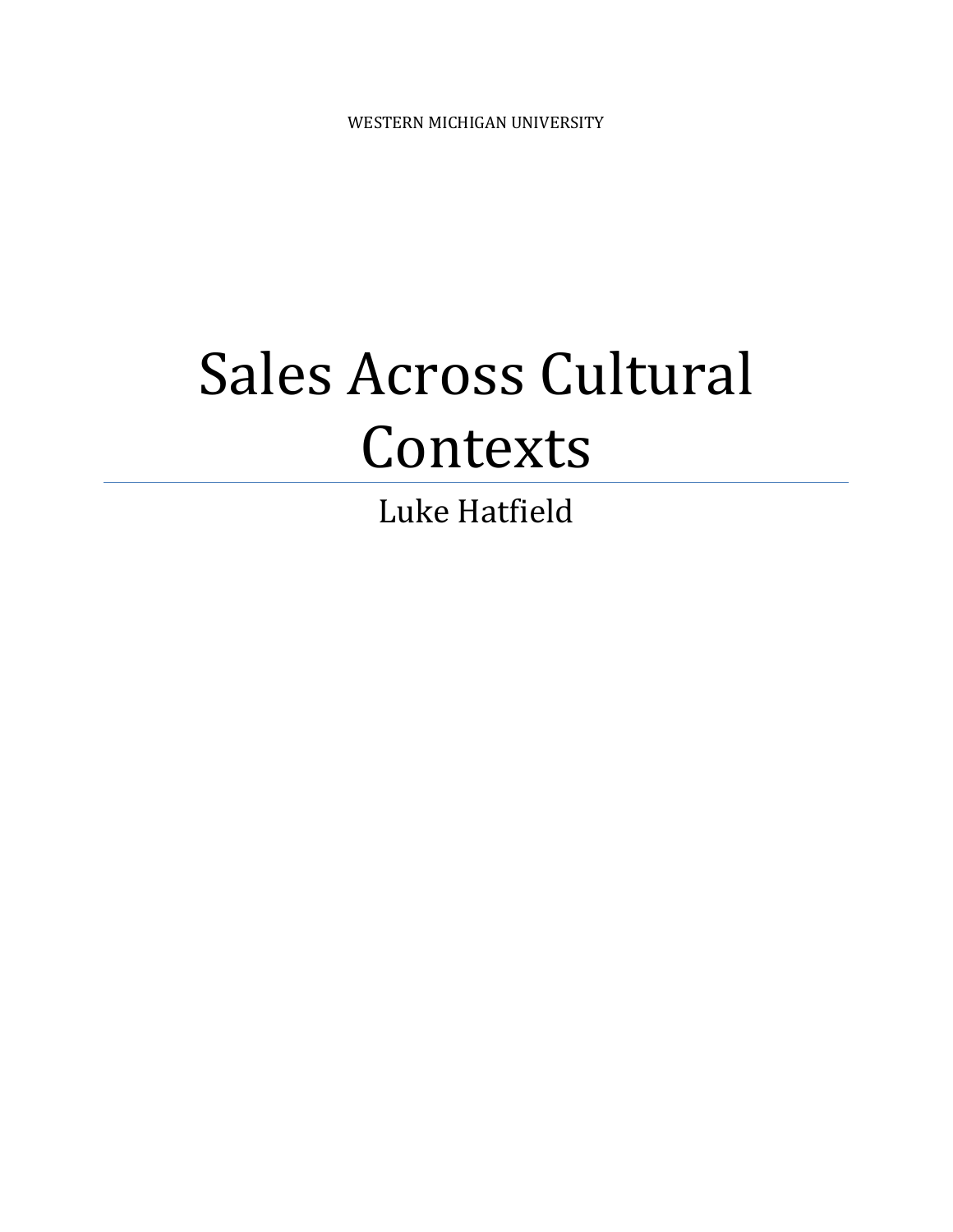WESTERN MICHIGAN UNIVERSITY

# Sales Across Cultural Contexts

Luke Hatfield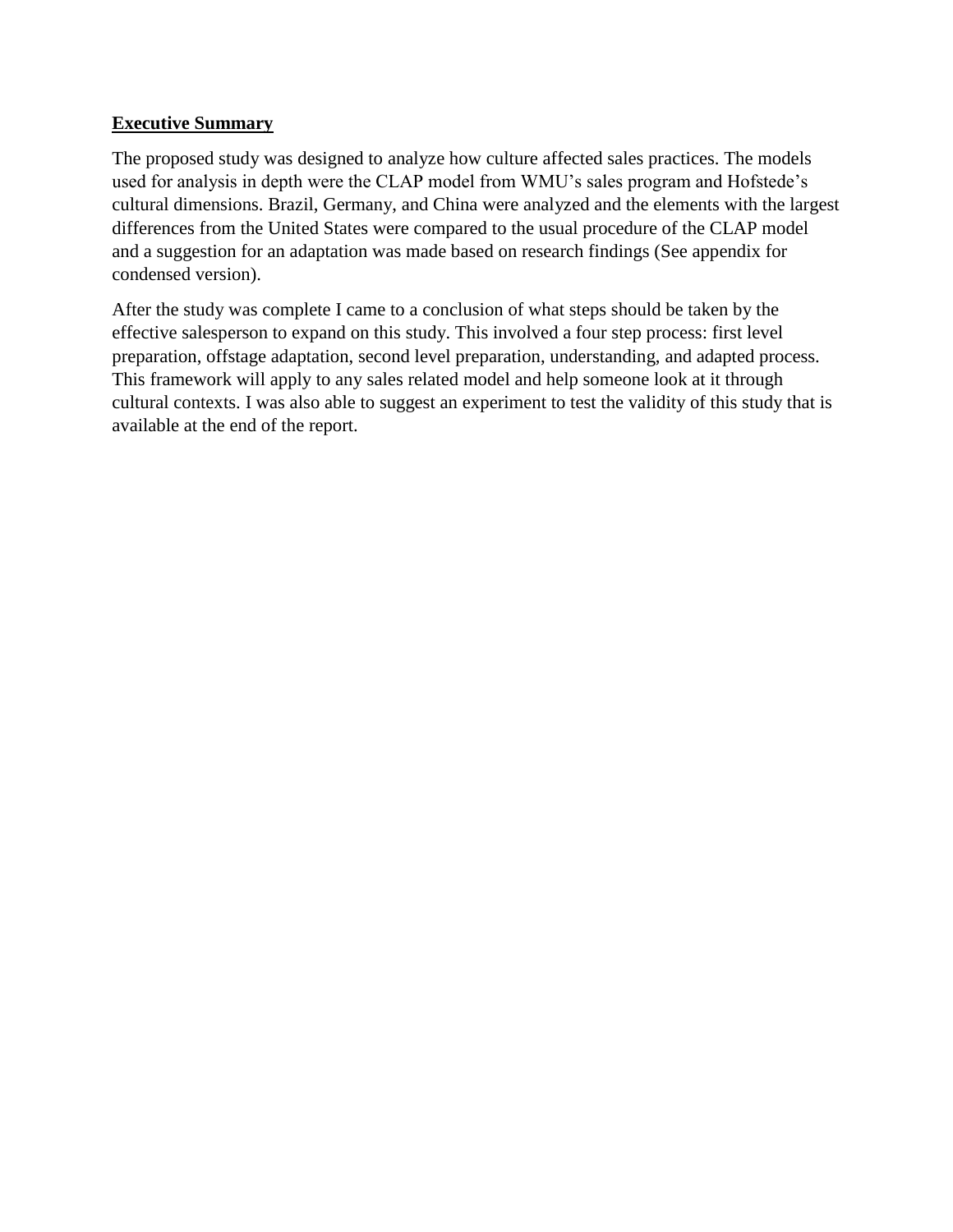#### **Executive Summary**

The proposed study was designed to analyze how culture affected sales practices. The models used for analysis in depth were the CLAP model from WMU's sales program and Hofstede's cultural dimensions. Brazil, Germany, and China were analyzed and the elements with the largest differences from the United States were compared to the usual procedure of the CLAP model and a suggestion for an adaptation was made based on research findings (See appendix for condensed version).

After the study was complete I came to a conclusion of what steps should be taken by the effective salesperson to expand on this study. This involved a four step process: first level preparation, offstage adaptation, second level preparation, understanding, and adapted process. This framework will apply to any sales related model and help someone look at it through cultural contexts. I was also able to suggest an experiment to test the validity of this study that is available at the end of the report.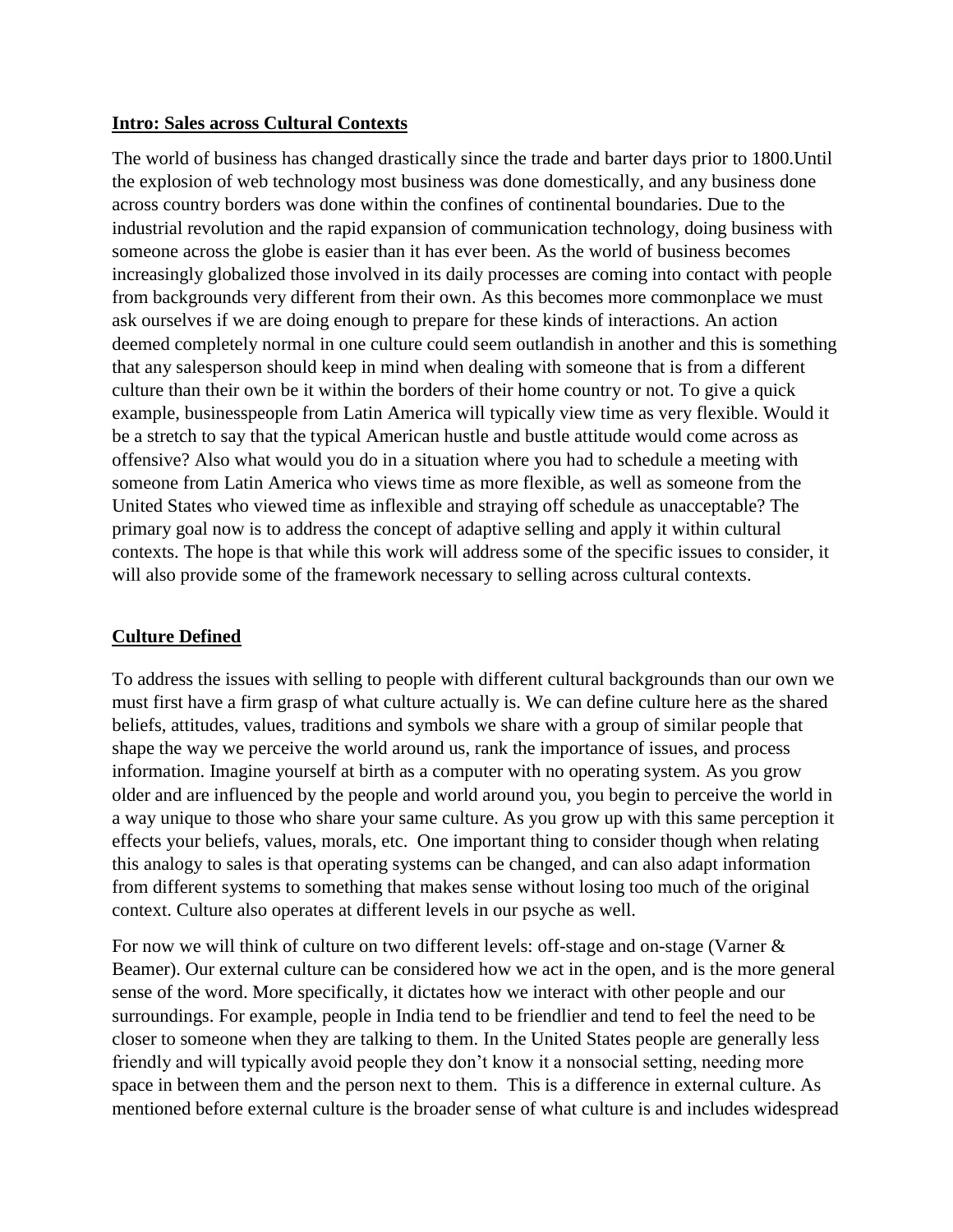#### **Intro: Sales across Cultural Contexts**

The world of business has changed drastically since the trade and barter days prior to 1800.Until the explosion of web technology most business was done domestically, and any business done across country borders was done within the confines of continental boundaries. Due to the industrial revolution and the rapid expansion of communication technology, doing business with someone across the globe is easier than it has ever been. As the world of business becomes increasingly globalized those involved in its daily processes are coming into contact with people from backgrounds very different from their own. As this becomes more commonplace we must ask ourselves if we are doing enough to prepare for these kinds of interactions. An action deemed completely normal in one culture could seem outlandish in another and this is something that any salesperson should keep in mind when dealing with someone that is from a different culture than their own be it within the borders of their home country or not. To give a quick example, businesspeople from Latin America will typically view time as very flexible. Would it be a stretch to say that the typical American hustle and bustle attitude would come across as offensive? Also what would you do in a situation where you had to schedule a meeting with someone from Latin America who views time as more flexible, as well as someone from the United States who viewed time as inflexible and straying off schedule as unacceptable? The primary goal now is to address the concept of adaptive selling and apply it within cultural contexts. The hope is that while this work will address some of the specific issues to consider, it will also provide some of the framework necessary to selling across cultural contexts.

#### **Culture Defined**

To address the issues with selling to people with different cultural backgrounds than our own we must first have a firm grasp of what culture actually is. We can define culture here as the shared beliefs, attitudes, values, traditions and symbols we share with a group of similar people that shape the way we perceive the world around us, rank the importance of issues, and process information. Imagine yourself at birth as a computer with no operating system. As you grow older and are influenced by the people and world around you, you begin to perceive the world in a way unique to those who share your same culture. As you grow up with this same perception it effects your beliefs, values, morals, etc. One important thing to consider though when relating this analogy to sales is that operating systems can be changed, and can also adapt information from different systems to something that makes sense without losing too much of the original context. Culture also operates at different levels in our psyche as well.

For now we will think of culture on two different levels: off-stage and on-stage (Varner & Beamer). Our external culture can be considered how we act in the open, and is the more general sense of the word. More specifically, it dictates how we interact with other people and our surroundings. For example, people in India tend to be friendlier and tend to feel the need to be closer to someone when they are talking to them. In the United States people are generally less friendly and will typically avoid people they don't know it a nonsocial setting, needing more space in between them and the person next to them. This is a difference in external culture. As mentioned before external culture is the broader sense of what culture is and includes widespread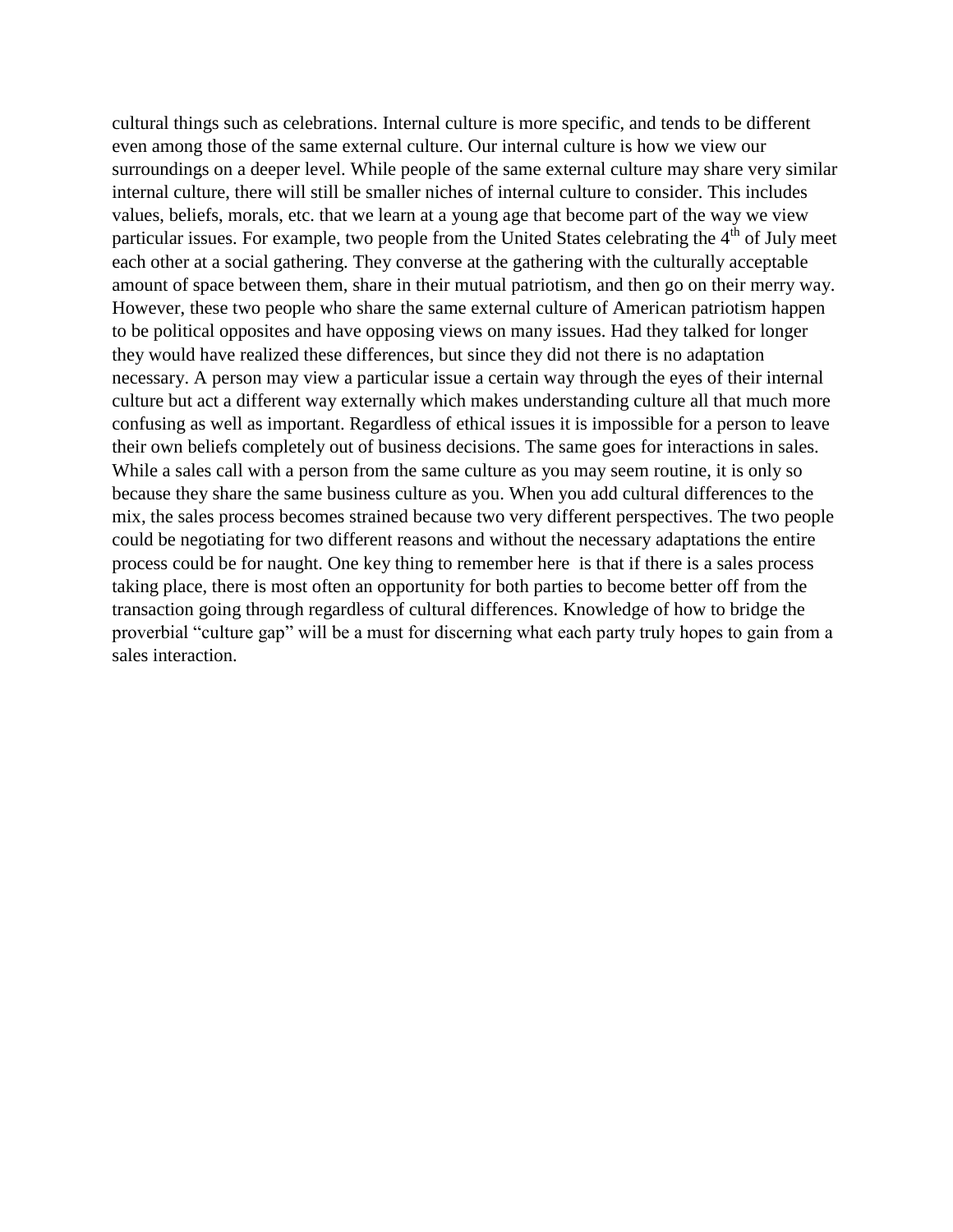cultural things such as celebrations. Internal culture is more specific, and tends to be different even among those of the same external culture. Our internal culture is how we view our surroundings on a deeper level. While people of the same external culture may share very similar internal culture, there will still be smaller niches of internal culture to consider. This includes values, beliefs, morals, etc. that we learn at a young age that become part of the way we view particular issues. For example, two people from the United States celebrating the 4<sup>th</sup> of July meet each other at a social gathering. They converse at the gathering with the culturally acceptable amount of space between them, share in their mutual patriotism, and then go on their merry way. However, these two people who share the same external culture of American patriotism happen to be political opposites and have opposing views on many issues. Had they talked for longer they would have realized these differences, but since they did not there is no adaptation necessary. A person may view a particular issue a certain way through the eyes of their internal culture but act a different way externally which makes understanding culture all that much more confusing as well as important. Regardless of ethical issues it is impossible for a person to leave their own beliefs completely out of business decisions. The same goes for interactions in sales. While a sales call with a person from the same culture as you may seem routine, it is only so because they share the same business culture as you. When you add cultural differences to the mix, the sales process becomes strained because two very different perspectives. The two people could be negotiating for two different reasons and without the necessary adaptations the entire process could be for naught. One key thing to remember here is that if there is a sales process taking place, there is most often an opportunity for both parties to become better off from the transaction going through regardless of cultural differences. Knowledge of how to bridge the proverbial "culture gap" will be a must for discerning what each party truly hopes to gain from a sales interaction.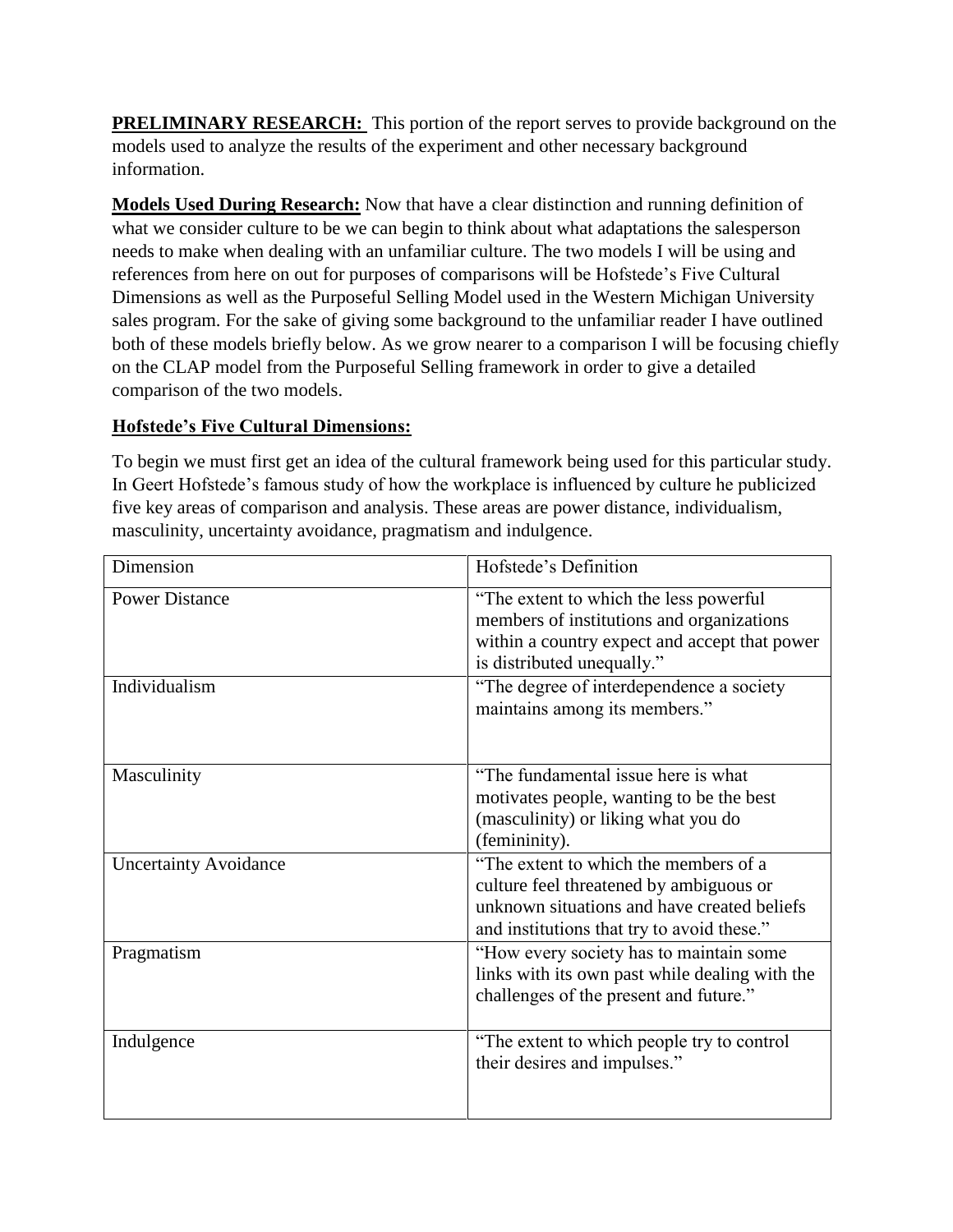**PRELIMINARY RESEARCH:** This portion of the report serves to provide background on the models used to analyze the results of the experiment and other necessary background information.

**Models Used During Research:** Now that have a clear distinction and running definition of what we consider culture to be we can begin to think about what adaptations the salesperson needs to make when dealing with an unfamiliar culture. The two models I will be using and references from here on out for purposes of comparisons will be Hofstede's Five Cultural Dimensions as well as the Purposeful Selling Model used in the Western Michigan University sales program. For the sake of giving some background to the unfamiliar reader I have outlined both of these models briefly below. As we grow nearer to a comparison I will be focusing chiefly on the CLAP model from the Purposeful Selling framework in order to give a detailed comparison of the two models.

# **Hofstede's Five Cultural Dimensions:**

To begin we must first get an idea of the cultural framework being used for this particular study. In Geert Hofstede's famous study of how the workplace is influenced by culture he publicized five key areas of comparison and analysis. These areas are power distance, individualism, masculinity, uncertainty avoidance, pragmatism and indulgence.

| Dimension                    | Hofstede's Definition                                                                                                                                                         |
|------------------------------|-------------------------------------------------------------------------------------------------------------------------------------------------------------------------------|
| <b>Power Distance</b>        | "The extent to which the less powerful<br>members of institutions and organizations<br>within a country expect and accept that power<br>is distributed unequally."            |
| Individualism                | "The degree of interdependence a society<br>maintains among its members."                                                                                                     |
| Masculinity                  | "The fundamental issue here is what<br>motivates people, wanting to be the best<br>(masculinity) or liking what you do<br>(femininity).                                       |
| <b>Uncertainty Avoidance</b> | "The extent to which the members of a<br>culture feel threatened by ambiguous or<br>unknown situations and have created beliefs<br>and institutions that try to avoid these." |
| Pragmatism                   | "How every society has to maintain some<br>links with its own past while dealing with the<br>challenges of the present and future."                                           |
| Indulgence                   | "The extent to which people try to control"<br>their desires and impulses."                                                                                                   |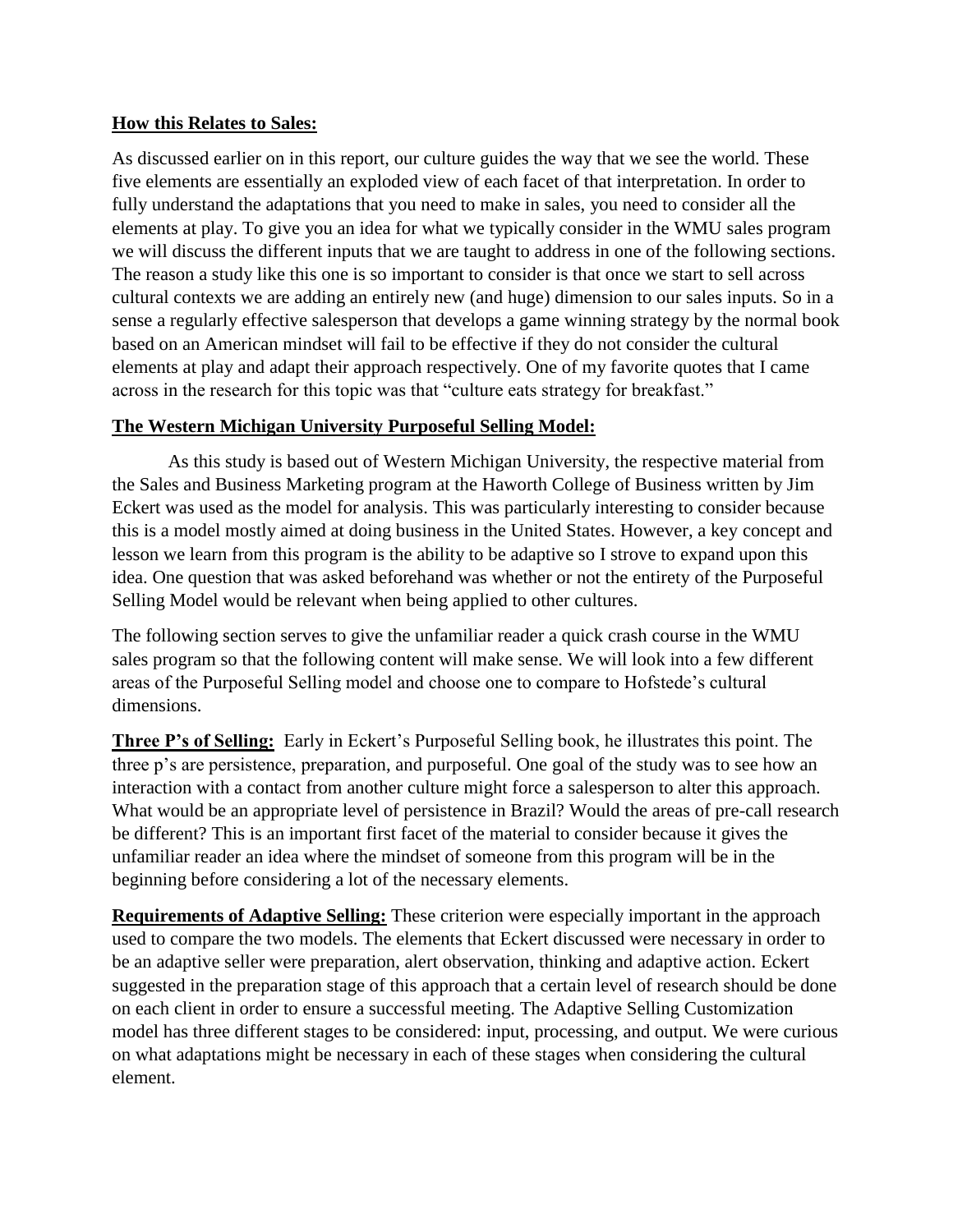#### **How this Relates to Sales:**

As discussed earlier on in this report, our culture guides the way that we see the world. These five elements are essentially an exploded view of each facet of that interpretation. In order to fully understand the adaptations that you need to make in sales, you need to consider all the elements at play. To give you an idea for what we typically consider in the WMU sales program we will discuss the different inputs that we are taught to address in one of the following sections. The reason a study like this one is so important to consider is that once we start to sell across cultural contexts we are adding an entirely new (and huge) dimension to our sales inputs. So in a sense a regularly effective salesperson that develops a game winning strategy by the normal book based on an American mindset will fail to be effective if they do not consider the cultural elements at play and adapt their approach respectively. One of my favorite quotes that I came across in the research for this topic was that "culture eats strategy for breakfast."

#### **The Western Michigan University Purposeful Selling Model:**

As this study is based out of Western Michigan University, the respective material from the Sales and Business Marketing program at the Haworth College of Business written by Jim Eckert was used as the model for analysis. This was particularly interesting to consider because this is a model mostly aimed at doing business in the United States. However, a key concept and lesson we learn from this program is the ability to be adaptive so I strove to expand upon this idea. One question that was asked beforehand was whether or not the entirety of the Purposeful Selling Model would be relevant when being applied to other cultures.

The following section serves to give the unfamiliar reader a quick crash course in the WMU sales program so that the following content will make sense. We will look into a few different areas of the Purposeful Selling model and choose one to compare to Hofstede's cultural dimensions.

**Three P's of Selling:** Early in Eckert's Purposeful Selling book, he illustrates this point. The three p's are persistence, preparation, and purposeful. One goal of the study was to see how an interaction with a contact from another culture might force a salesperson to alter this approach. What would be an appropriate level of persistence in Brazil? Would the areas of pre-call research be different? This is an important first facet of the material to consider because it gives the unfamiliar reader an idea where the mindset of someone from this program will be in the beginning before considering a lot of the necessary elements.

**Requirements of Adaptive Selling:** These criterion were especially important in the approach used to compare the two models. The elements that Eckert discussed were necessary in order to be an adaptive seller were preparation, alert observation, thinking and adaptive action. Eckert suggested in the preparation stage of this approach that a certain level of research should be done on each client in order to ensure a successful meeting. The Adaptive Selling Customization model has three different stages to be considered: input, processing, and output. We were curious on what adaptations might be necessary in each of these stages when considering the cultural element.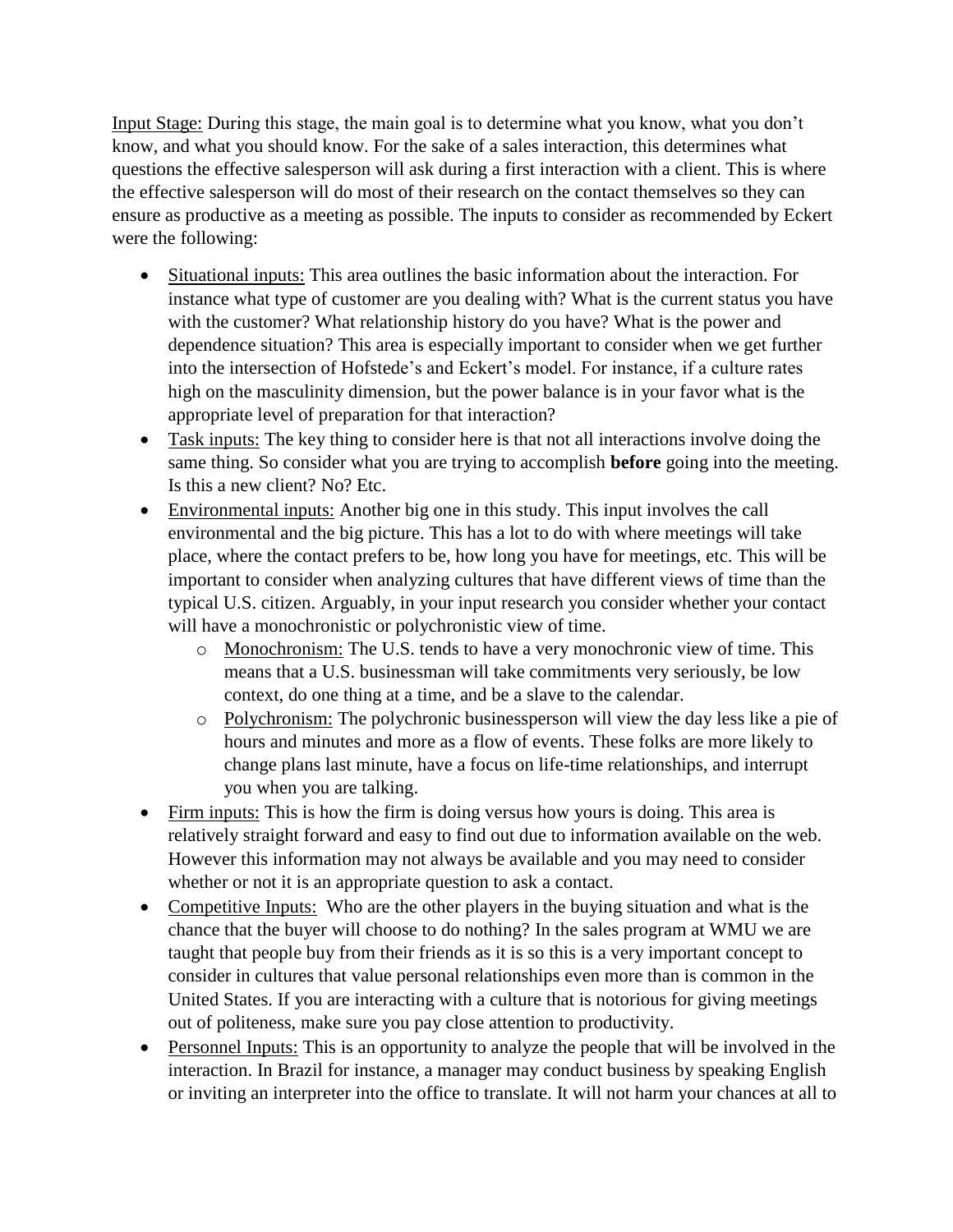Input Stage: During this stage, the main goal is to determine what you know, what you don't know, and what you should know. For the sake of a sales interaction, this determines what questions the effective salesperson will ask during a first interaction with a client. This is where the effective salesperson will do most of their research on the contact themselves so they can ensure as productive as a meeting as possible. The inputs to consider as recommended by Eckert were the following:

- Situational inputs: This area outlines the basic information about the interaction. For instance what type of customer are you dealing with? What is the current status you have with the customer? What relationship history do you have? What is the power and dependence situation? This area is especially important to consider when we get further into the intersection of Hofstede's and Eckert's model. For instance, if a culture rates high on the masculinity dimension, but the power balance is in your favor what is the appropriate level of preparation for that interaction?
- Task inputs: The key thing to consider here is that not all interactions involve doing the same thing. So consider what you are trying to accomplish **before** going into the meeting. Is this a new client? No? Etc.
- Environmental inputs: Another big one in this study. This input involves the call environmental and the big picture. This has a lot to do with where meetings will take place, where the contact prefers to be, how long you have for meetings, etc. This will be important to consider when analyzing cultures that have different views of time than the typical U.S. citizen. Arguably, in your input research you consider whether your contact will have a monochronistic or polychronistic view of time.
	- o Monochronism: The U.S. tends to have a very monochronic view of time. This means that a U.S. businessman will take commitments very seriously, be low context, do one thing at a time, and be a slave to the calendar.
	- o Polychronism: The polychronic businessperson will view the day less like a pie of hours and minutes and more as a flow of events. These folks are more likely to change plans last minute, have a focus on life-time relationships, and interrupt you when you are talking.
- Firm inputs: This is how the firm is doing versus how yours is doing. This area is relatively straight forward and easy to find out due to information available on the web. However this information may not always be available and you may need to consider whether or not it is an appropriate question to ask a contact.
- Competitive Inputs: Who are the other players in the buying situation and what is the chance that the buyer will choose to do nothing? In the sales program at WMU we are taught that people buy from their friends as it is so this is a very important concept to consider in cultures that value personal relationships even more than is common in the United States. If you are interacting with a culture that is notorious for giving meetings out of politeness, make sure you pay close attention to productivity.
- Personnel Inputs: This is an opportunity to analyze the people that will be involved in the interaction. In Brazil for instance, a manager may conduct business by speaking English or inviting an interpreter into the office to translate. It will not harm your chances at all to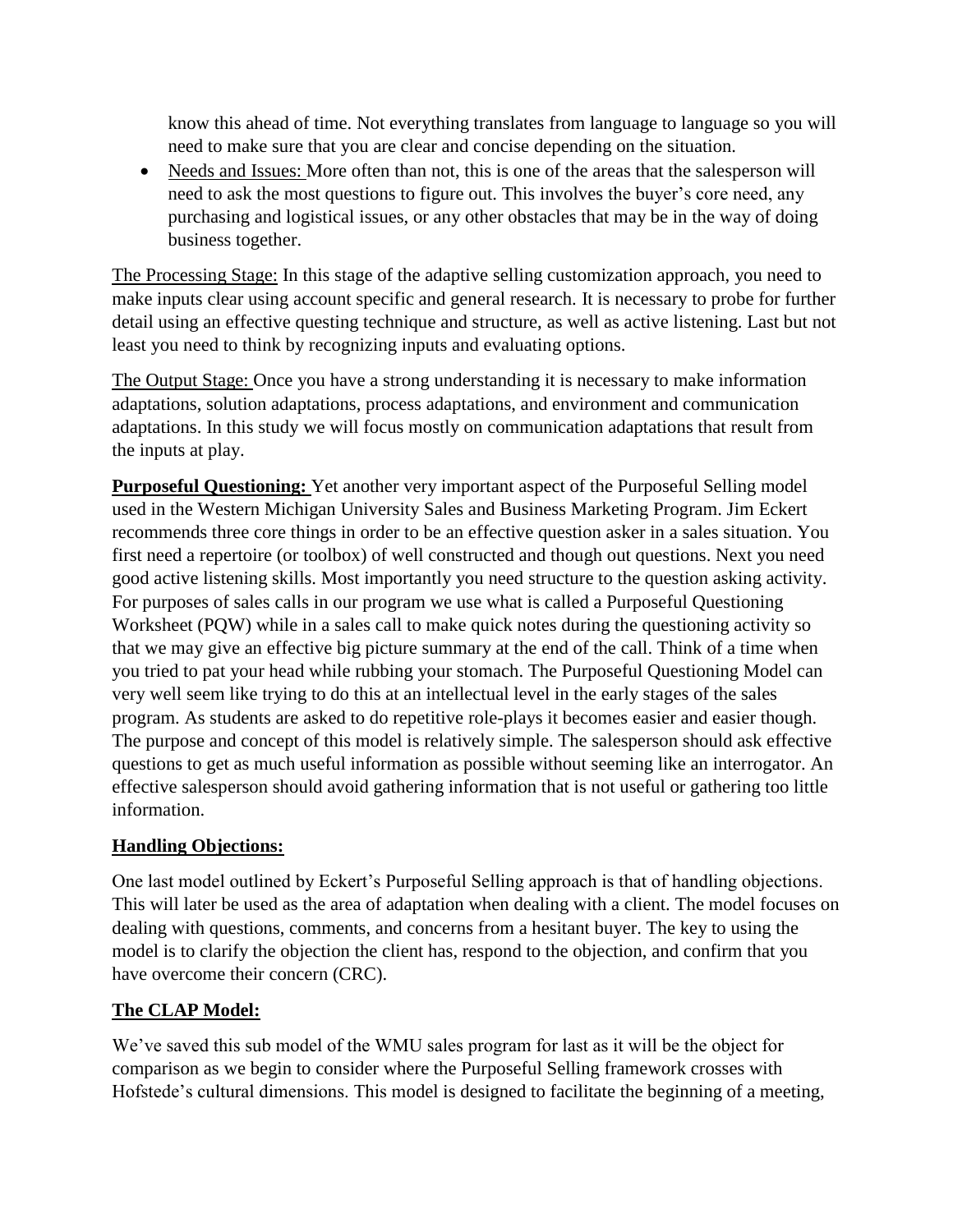know this ahead of time. Not everything translates from language to language so you will need to make sure that you are clear and concise depending on the situation.

• Needs and Issues: More often than not, this is one of the areas that the salesperson will need to ask the most questions to figure out. This involves the buyer's core need, any purchasing and logistical issues, or any other obstacles that may be in the way of doing business together.

The Processing Stage: In this stage of the adaptive selling customization approach, you need to make inputs clear using account specific and general research. It is necessary to probe for further detail using an effective questing technique and structure, as well as active listening. Last but not least you need to think by recognizing inputs and evaluating options.

The Output Stage: Once you have a strong understanding it is necessary to make information adaptations, solution adaptations, process adaptations, and environment and communication adaptations. In this study we will focus mostly on communication adaptations that result from the inputs at play.

**Purposeful Questioning:** Yet another very important aspect of the Purposeful Selling model used in the Western Michigan University Sales and Business Marketing Program. Jim Eckert recommends three core things in order to be an effective question asker in a sales situation. You first need a repertoire (or toolbox) of well constructed and though out questions. Next you need good active listening skills. Most importantly you need structure to the question asking activity. For purposes of sales calls in our program we use what is called a Purposeful Questioning Worksheet (PQW) while in a sales call to make quick notes during the questioning activity so that we may give an effective big picture summary at the end of the call. Think of a time when you tried to pat your head while rubbing your stomach. The Purposeful Questioning Model can very well seem like trying to do this at an intellectual level in the early stages of the sales program. As students are asked to do repetitive role-plays it becomes easier and easier though. The purpose and concept of this model is relatively simple. The salesperson should ask effective questions to get as much useful information as possible without seeming like an interrogator. An effective salesperson should avoid gathering information that is not useful or gathering too little information.

# **Handling Objections:**

One last model outlined by Eckert's Purposeful Selling approach is that of handling objections. This will later be used as the area of adaptation when dealing with a client. The model focuses on dealing with questions, comments, and concerns from a hesitant buyer. The key to using the model is to clarify the objection the client has, respond to the objection, and confirm that you have overcome their concern (CRC).

# **The CLAP Model:**

We've saved this sub model of the WMU sales program for last as it will be the object for comparison as we begin to consider where the Purposeful Selling framework crosses with Hofstede's cultural dimensions. This model is designed to facilitate the beginning of a meeting,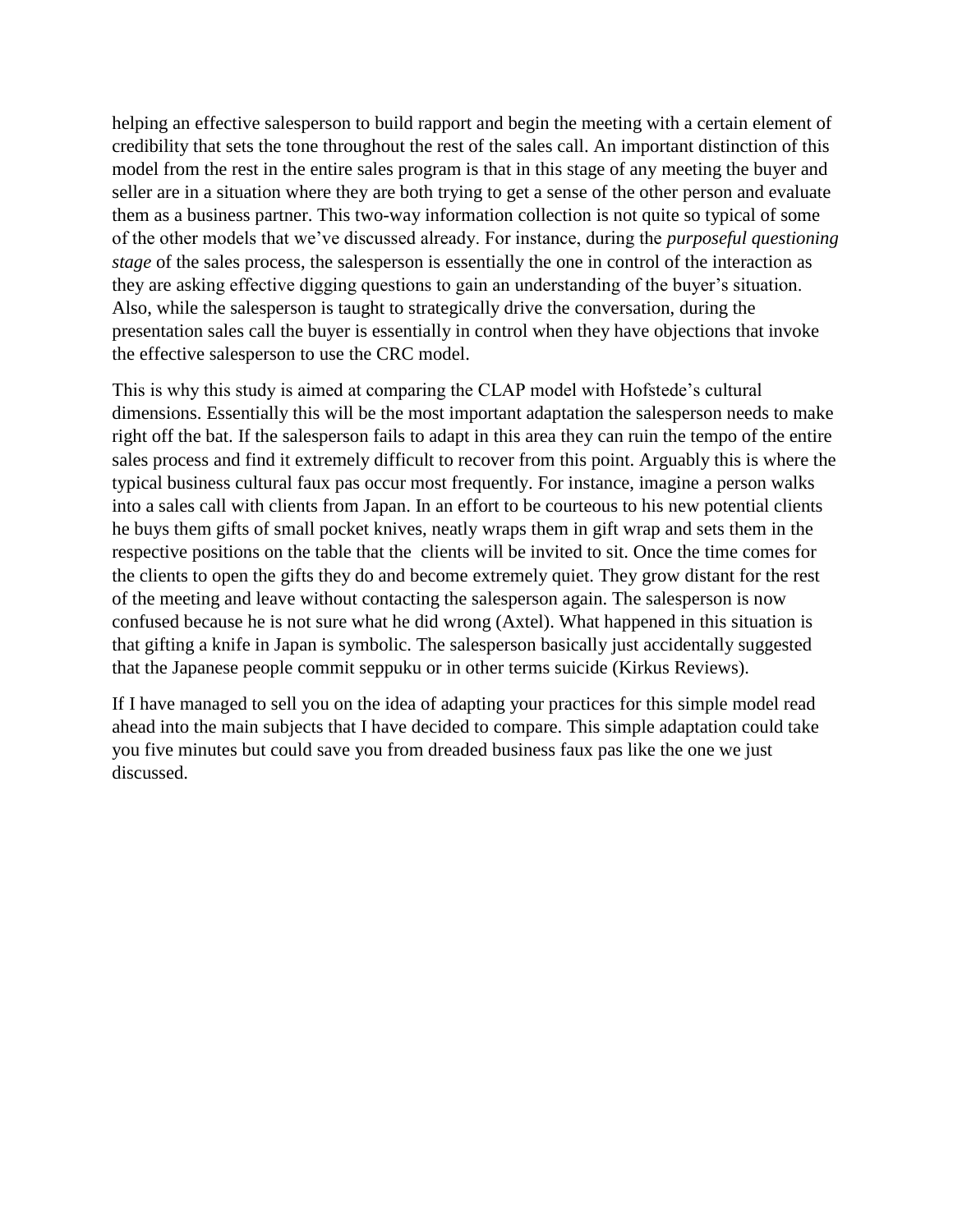helping an effective salesperson to build rapport and begin the meeting with a certain element of credibility that sets the tone throughout the rest of the sales call. An important distinction of this model from the rest in the entire sales program is that in this stage of any meeting the buyer and seller are in a situation where they are both trying to get a sense of the other person and evaluate them as a business partner. This two-way information collection is not quite so typical of some of the other models that we've discussed already. For instance, during the *purposeful questioning stage* of the sales process, the salesperson is essentially the one in control of the interaction as they are asking effective digging questions to gain an understanding of the buyer's situation. Also, while the salesperson is taught to strategically drive the conversation, during the presentation sales call the buyer is essentially in control when they have objections that invoke the effective salesperson to use the CRC model.

This is why this study is aimed at comparing the CLAP model with Hofstede's cultural dimensions. Essentially this will be the most important adaptation the salesperson needs to make right off the bat. If the salesperson fails to adapt in this area they can ruin the tempo of the entire sales process and find it extremely difficult to recover from this point. Arguably this is where the typical business cultural faux pas occur most frequently. For instance, imagine a person walks into a sales call with clients from Japan. In an effort to be courteous to his new potential clients he buys them gifts of small pocket knives, neatly wraps them in gift wrap and sets them in the respective positions on the table that the clients will be invited to sit. Once the time comes for the clients to open the gifts they do and become extremely quiet. They grow distant for the rest of the meeting and leave without contacting the salesperson again. The salesperson is now confused because he is not sure what he did wrong (Axtel). What happened in this situation is that gifting a knife in Japan is symbolic. The salesperson basically just accidentally suggested that the Japanese people commit seppuku or in other terms suicide (Kirkus Reviews).

If I have managed to sell you on the idea of adapting your practices for this simple model read ahead into the main subjects that I have decided to compare. This simple adaptation could take you five minutes but could save you from dreaded business faux pas like the one we just discussed.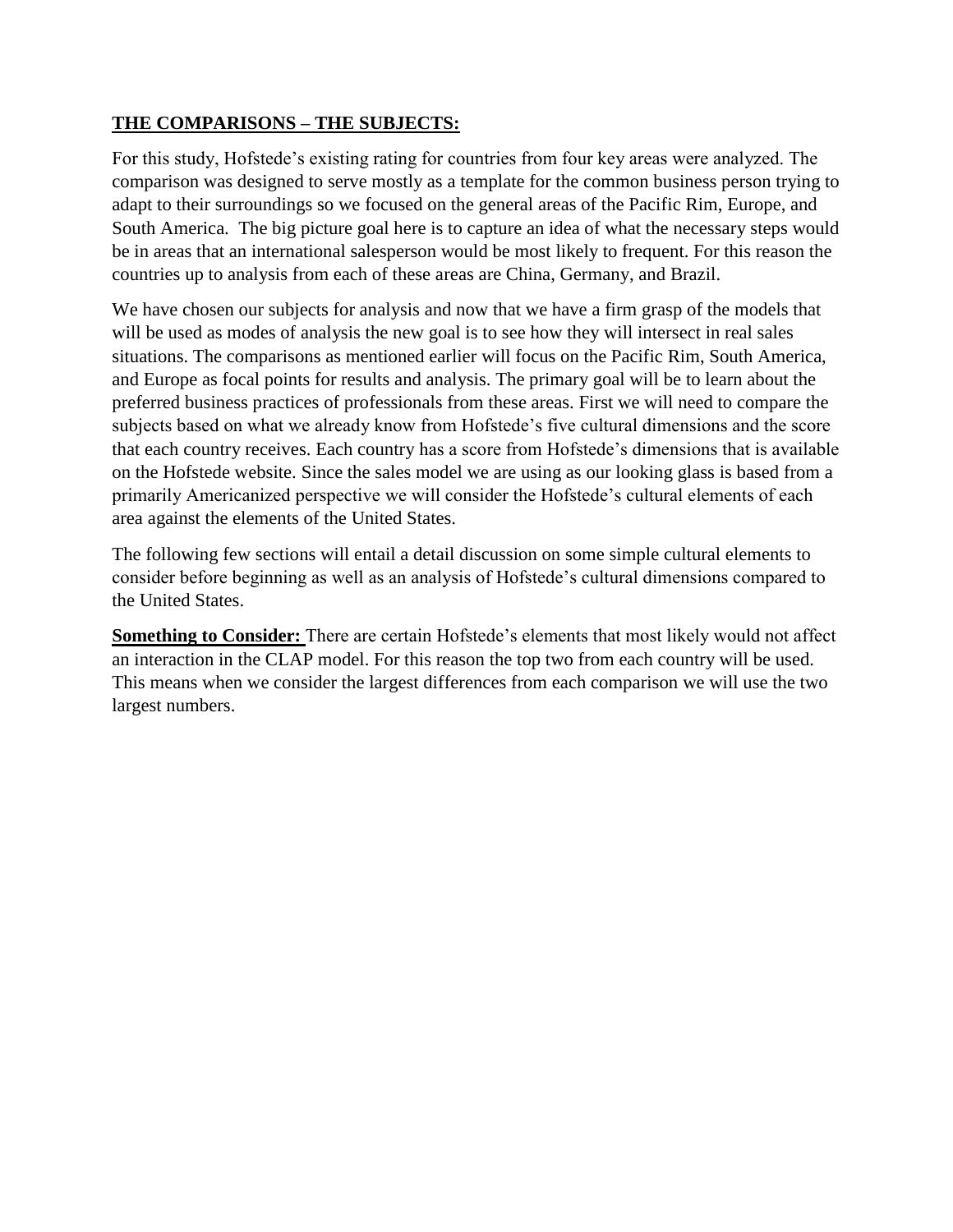# **THE COMPARISONS – THE SUBJECTS:**

For this study, Hofstede's existing rating for countries from four key areas were analyzed. The comparison was designed to serve mostly as a template for the common business person trying to adapt to their surroundings so we focused on the general areas of the Pacific Rim, Europe, and South America. The big picture goal here is to capture an idea of what the necessary steps would be in areas that an international salesperson would be most likely to frequent. For this reason the countries up to analysis from each of these areas are China, Germany, and Brazil.

We have chosen our subjects for analysis and now that we have a firm grasp of the models that will be used as modes of analysis the new goal is to see how they will intersect in real sales situations. The comparisons as mentioned earlier will focus on the Pacific Rim, South America, and Europe as focal points for results and analysis. The primary goal will be to learn about the preferred business practices of professionals from these areas. First we will need to compare the subjects based on what we already know from Hofstede's five cultural dimensions and the score that each country receives. Each country has a score from Hofstede's dimensions that is available on the Hofstede website. Since the sales model we are using as our looking glass is based from a primarily Americanized perspective we will consider the Hofstede's cultural elements of each area against the elements of the United States.

The following few sections will entail a detail discussion on some simple cultural elements to consider before beginning as well as an analysis of Hofstede's cultural dimensions compared to the United States.

**Something to Consider:** There are certain Hofstede's elements that most likely would not affect an interaction in the CLAP model. For this reason the top two from each country will be used. This means when we consider the largest differences from each comparison we will use the two largest numbers.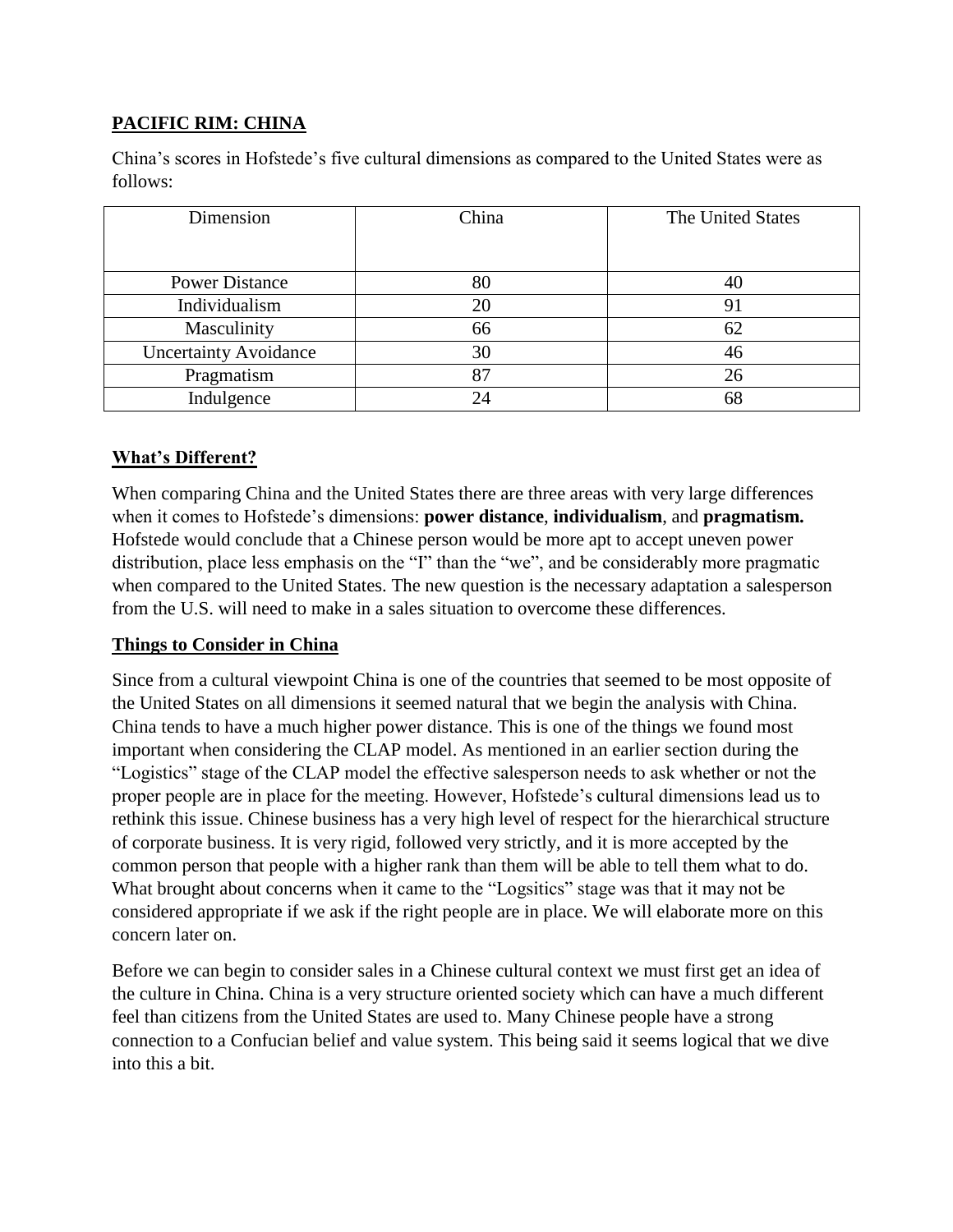# **PACIFIC RIM: CHINA**

China's scores in Hofstede's five cultural dimensions as compared to the United States were as follows:

| Dimension                    | China | The United States |
|------------------------------|-------|-------------------|
| <b>Power Distance</b>        | 80    | 40                |
| Individualism                | 20    | 91                |
| Masculinity                  | 66    | 62                |
| <b>Uncertainty Avoidance</b> | 30    | 46                |
| Pragmatism                   | 87    | 26                |
| Indulgence                   | 24    | 68                |

# **What's Different?**

When comparing China and the United States there are three areas with very large differences when it comes to Hofstede's dimensions: **power distance**, **individualism**, and **pragmatism.** Hofstede would conclude that a Chinese person would be more apt to accept uneven power distribution, place less emphasis on the "I" than the "we", and be considerably more pragmatic when compared to the United States. The new question is the necessary adaptation a salesperson from the U.S. will need to make in a sales situation to overcome these differences.

# **Things to Consider in China**

Since from a cultural viewpoint China is one of the countries that seemed to be most opposite of the United States on all dimensions it seemed natural that we begin the analysis with China. China tends to have a much higher power distance. This is one of the things we found most important when considering the CLAP model. As mentioned in an earlier section during the "Logistics" stage of the CLAP model the effective salesperson needs to ask whether or not the proper people are in place for the meeting. However, Hofstede's cultural dimensions lead us to rethink this issue. Chinese business has a very high level of respect for the hierarchical structure of corporate business. It is very rigid, followed very strictly, and it is more accepted by the common person that people with a higher rank than them will be able to tell them what to do. What brought about concerns when it came to the "Logsitics" stage was that it may not be considered appropriate if we ask if the right people are in place. We will elaborate more on this concern later on.

Before we can begin to consider sales in a Chinese cultural context we must first get an idea of the culture in China. China is a very structure oriented society which can have a much different feel than citizens from the United States are used to. Many Chinese people have a strong connection to a Confucian belief and value system. This being said it seems logical that we dive into this a bit.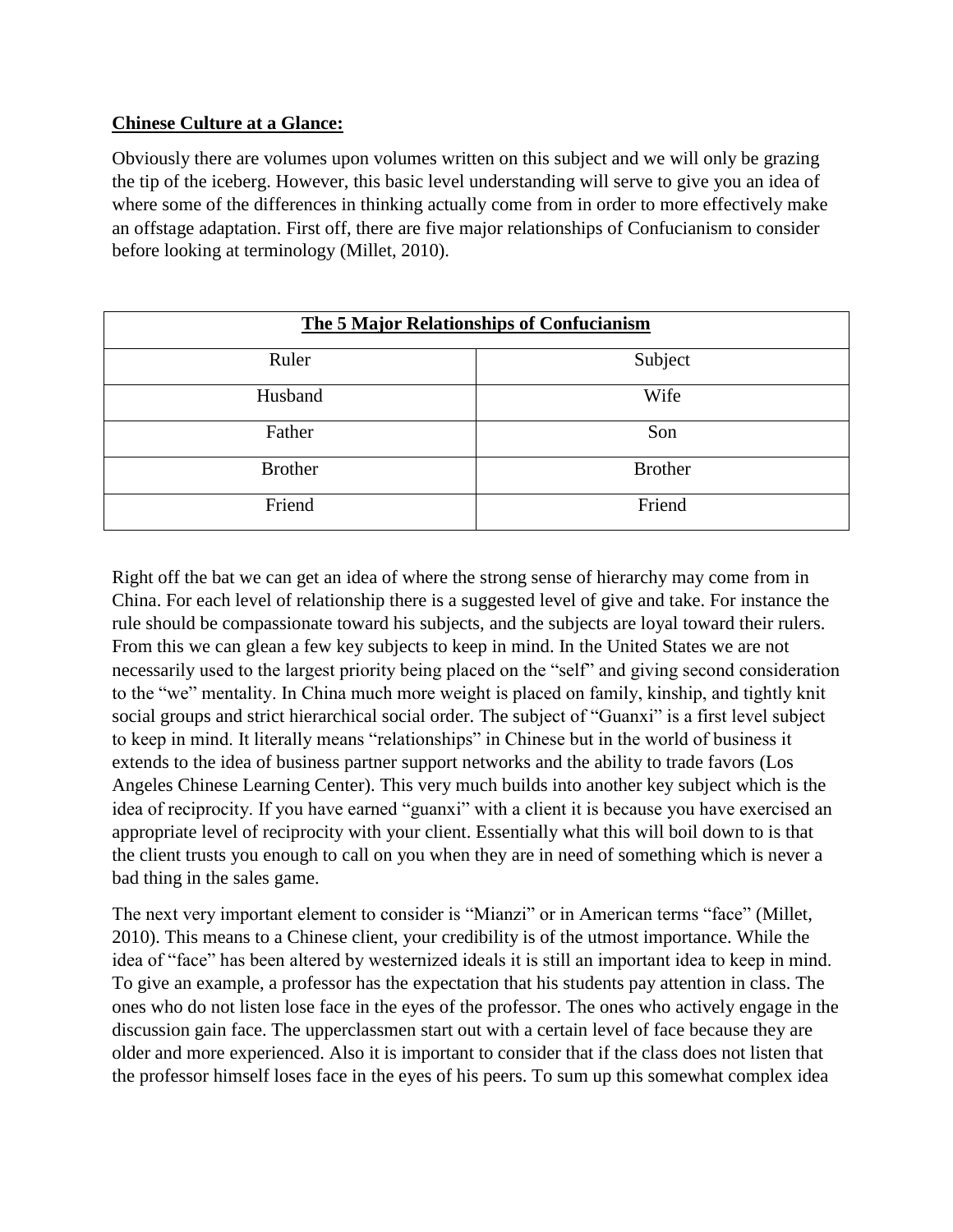# **Chinese Culture at a Glance:**

Obviously there are volumes upon volumes written on this subject and we will only be grazing the tip of the iceberg. However, this basic level understanding will serve to give you an idea of where some of the differences in thinking actually come from in order to more effectively make an offstage adaptation. First off, there are five major relationships of Confucianism to consider before looking at terminology (Millet, 2010).

| <b>The 5 Major Relationships of Confucianism</b> |                |  |  |
|--------------------------------------------------|----------------|--|--|
| Ruler                                            | Subject        |  |  |
| Husband                                          | Wife           |  |  |
| Father                                           | Son            |  |  |
| <b>Brother</b>                                   | <b>Brother</b> |  |  |
| Friend                                           | Friend         |  |  |

Right off the bat we can get an idea of where the strong sense of hierarchy may come from in China. For each level of relationship there is a suggested level of give and take. For instance the rule should be compassionate toward his subjects, and the subjects are loyal toward their rulers. From this we can glean a few key subjects to keep in mind. In the United States we are not necessarily used to the largest priority being placed on the "self" and giving second consideration to the "we" mentality. In China much more weight is placed on family, kinship, and tightly knit social groups and strict hierarchical social order. The subject of "Guanxi" is a first level subject to keep in mind. It literally means "relationships" in Chinese but in the world of business it extends to the idea of business partner support networks and the ability to trade favors (Los Angeles Chinese Learning Center). This very much builds into another key subject which is the idea of reciprocity. If you have earned "guanxi" with a client it is because you have exercised an appropriate level of reciprocity with your client. Essentially what this will boil down to is that the client trusts you enough to call on you when they are in need of something which is never a bad thing in the sales game.

The next very important element to consider is "Mianzi" or in American terms "face" (Millet, 2010). This means to a Chinese client, your credibility is of the utmost importance. While the idea of "face" has been altered by westernized ideals it is still an important idea to keep in mind. To give an example, a professor has the expectation that his students pay attention in class. The ones who do not listen lose face in the eyes of the professor. The ones who actively engage in the discussion gain face. The upperclassmen start out with a certain level of face because they are older and more experienced. Also it is important to consider that if the class does not listen that the professor himself loses face in the eyes of his peers. To sum up this somewhat complex idea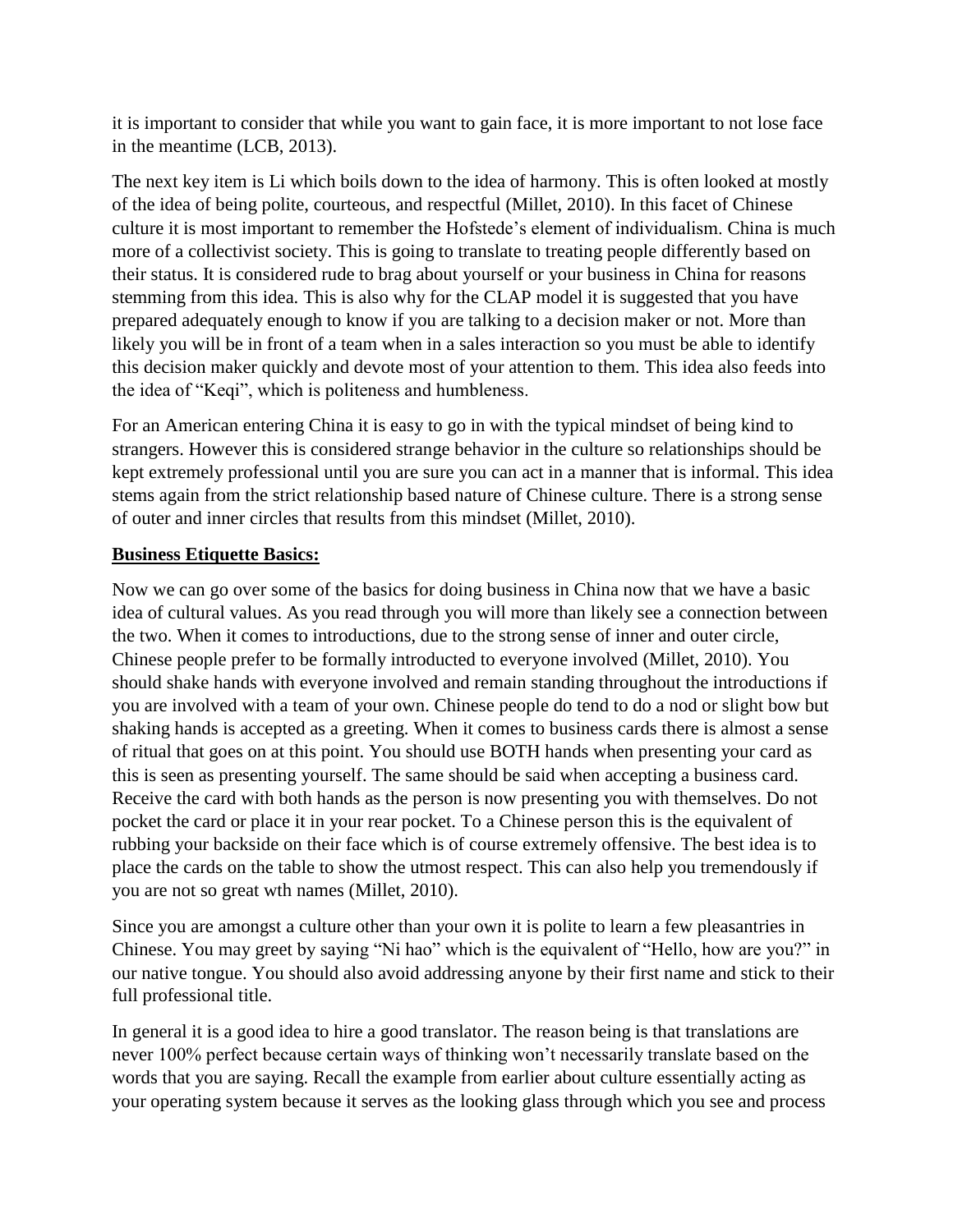it is important to consider that while you want to gain face, it is more important to not lose face in the meantime (LCB, 2013).

The next key item is Li which boils down to the idea of harmony. This is often looked at mostly of the idea of being polite, courteous, and respectful (Millet, 2010). In this facet of Chinese culture it is most important to remember the Hofstede's element of individualism. China is much more of a collectivist society. This is going to translate to treating people differently based on their status. It is considered rude to brag about yourself or your business in China for reasons stemming from this idea. This is also why for the CLAP model it is suggested that you have prepared adequately enough to know if you are talking to a decision maker or not. More than likely you will be in front of a team when in a sales interaction so you must be able to identify this decision maker quickly and devote most of your attention to them. This idea also feeds into the idea of "Keqi", which is politeness and humbleness.

For an American entering China it is easy to go in with the typical mindset of being kind to strangers. However this is considered strange behavior in the culture so relationships should be kept extremely professional until you are sure you can act in a manner that is informal. This idea stems again from the strict relationship based nature of Chinese culture. There is a strong sense of outer and inner circles that results from this mindset (Millet, 2010).

#### **Business Etiquette Basics:**

Now we can go over some of the basics for doing business in China now that we have a basic idea of cultural values. As you read through you will more than likely see a connection between the two. When it comes to introductions, due to the strong sense of inner and outer circle, Chinese people prefer to be formally introducted to everyone involved (Millet, 2010). You should shake hands with everyone involved and remain standing throughout the introductions if you are involved with a team of your own. Chinese people do tend to do a nod or slight bow but shaking hands is accepted as a greeting. When it comes to business cards there is almost a sense of ritual that goes on at this point. You should use BOTH hands when presenting your card as this is seen as presenting yourself. The same should be said when accepting a business card. Receive the card with both hands as the person is now presenting you with themselves. Do not pocket the card or place it in your rear pocket. To a Chinese person this is the equivalent of rubbing your backside on their face which is of course extremely offensive. The best idea is to place the cards on the table to show the utmost respect. This can also help you tremendously if you are not so great wth names (Millet, 2010).

Since you are amongst a culture other than your own it is polite to learn a few pleasantries in Chinese. You may greet by saying "Ni hao" which is the equivalent of "Hello, how are you?" in our native tongue. You should also avoid addressing anyone by their first name and stick to their full professional title.

In general it is a good idea to hire a good translator. The reason being is that translations are never 100% perfect because certain ways of thinking won't necessarily translate based on the words that you are saying. Recall the example from earlier about culture essentially acting as your operating system because it serves as the looking glass through which you see and process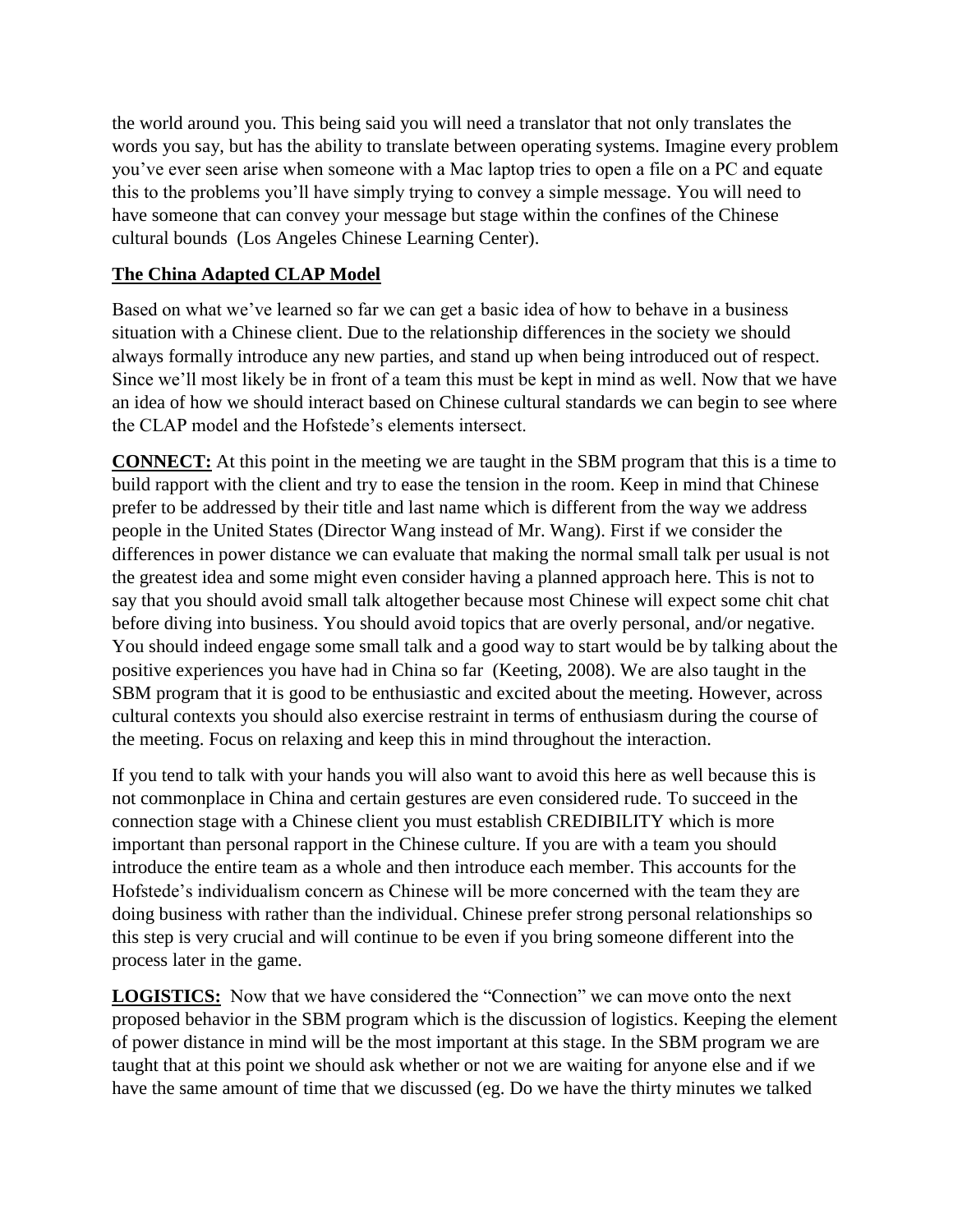the world around you. This being said you will need a translator that not only translates the words you say, but has the ability to translate between operating systems. Imagine every problem you've ever seen arise when someone with a Mac laptop tries to open a file on a PC and equate this to the problems you'll have simply trying to convey a simple message. You will need to have someone that can convey your message but stage within the confines of the Chinese cultural bounds (Los Angeles Chinese Learning Center).

# **The China Adapted CLAP Model**

Based on what we've learned so far we can get a basic idea of how to behave in a business situation with a Chinese client. Due to the relationship differences in the society we should always formally introduce any new parties, and stand up when being introduced out of respect. Since we'll most likely be in front of a team this must be kept in mind as well. Now that we have an idea of how we should interact based on Chinese cultural standards we can begin to see where the CLAP model and the Hofstede's elements intersect.

**CONNECT:** At this point in the meeting we are taught in the SBM program that this is a time to build rapport with the client and try to ease the tension in the room. Keep in mind that Chinese prefer to be addressed by their title and last name which is different from the way we address people in the United States (Director Wang instead of Mr. Wang). First if we consider the differences in power distance we can evaluate that making the normal small talk per usual is not the greatest idea and some might even consider having a planned approach here. This is not to say that you should avoid small talk altogether because most Chinese will expect some chit chat before diving into business. You should avoid topics that are overly personal, and/or negative. You should indeed engage some small talk and a good way to start would be by talking about the positive experiences you have had in China so far (Keeting, 2008). We are also taught in the SBM program that it is good to be enthusiastic and excited about the meeting. However, across cultural contexts you should also exercise restraint in terms of enthusiasm during the course of the meeting. Focus on relaxing and keep this in mind throughout the interaction.

If you tend to talk with your hands you will also want to avoid this here as well because this is not commonplace in China and certain gestures are even considered rude. To succeed in the connection stage with a Chinese client you must establish CREDIBILITY which is more important than personal rapport in the Chinese culture. If you are with a team you should introduce the entire team as a whole and then introduce each member. This accounts for the Hofstede's individualism concern as Chinese will be more concerned with the team they are doing business with rather than the individual. Chinese prefer strong personal relationships so this step is very crucial and will continue to be even if you bring someone different into the process later in the game.

**LOGISTICS:** Now that we have considered the "Connection" we can move onto the next proposed behavior in the SBM program which is the discussion of logistics. Keeping the element of power distance in mind will be the most important at this stage. In the SBM program we are taught that at this point we should ask whether or not we are waiting for anyone else and if we have the same amount of time that we discussed (eg. Do we have the thirty minutes we talked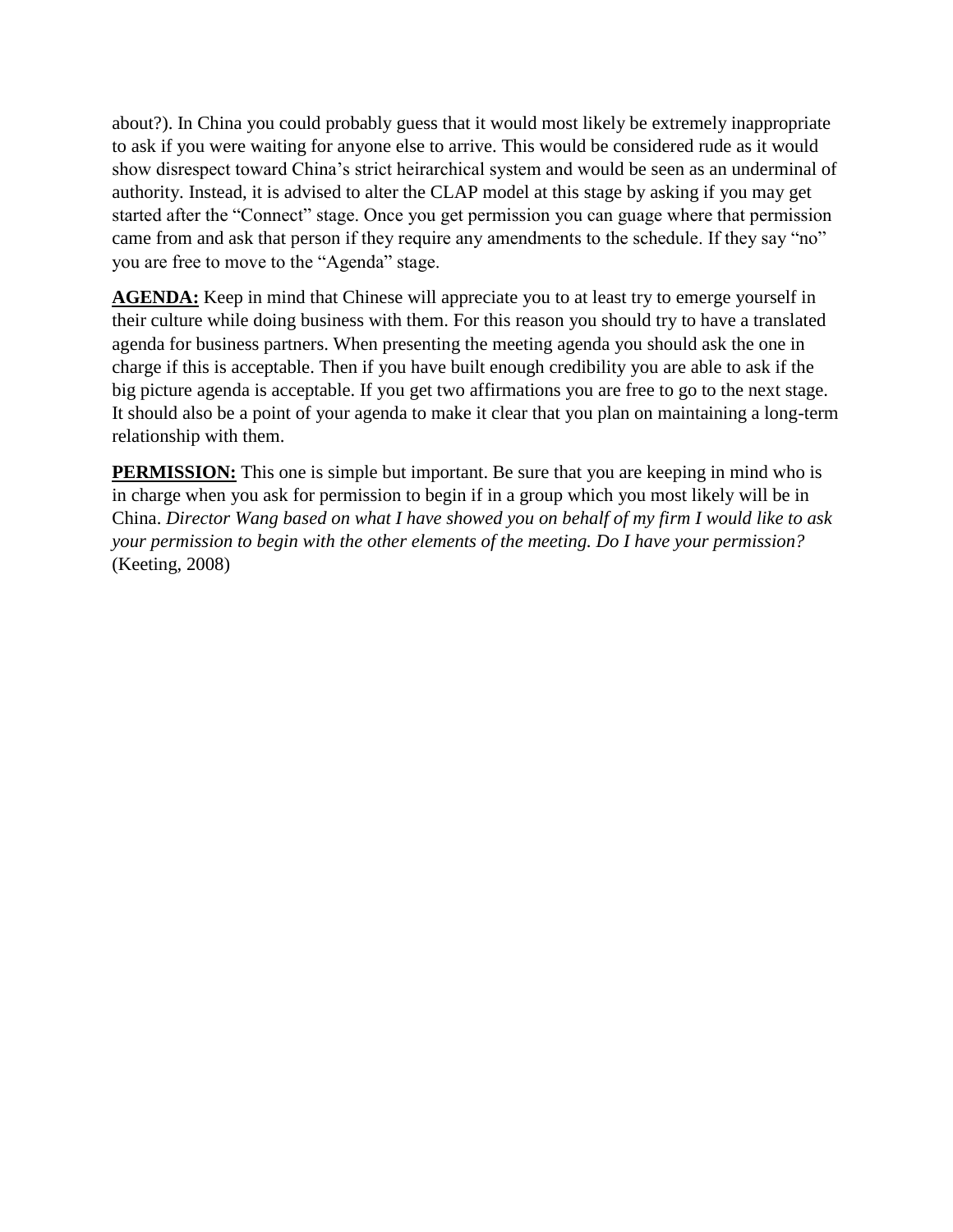about?). In China you could probably guess that it would most likely be extremely inappropriate to ask if you were waiting for anyone else to arrive. This would be considered rude as it would show disrespect toward China's strict heirarchical system and would be seen as an underminal of authority. Instead, it is advised to alter the CLAP model at this stage by asking if you may get started after the "Connect" stage. Once you get permission you can guage where that permission came from and ask that person if they require any amendments to the schedule. If they say "no" you are free to move to the "Agenda" stage.

**AGENDA:** Keep in mind that Chinese will appreciate you to at least try to emerge yourself in their culture while doing business with them. For this reason you should try to have a translated agenda for business partners. When presenting the meeting agenda you should ask the one in charge if this is acceptable. Then if you have built enough credibility you are able to ask if the big picture agenda is acceptable. If you get two affirmations you are free to go to the next stage. It should also be a point of your agenda to make it clear that you plan on maintaining a long-term relationship with them.

**PERMISSION:** This one is simple but important. Be sure that you are keeping in mind who is in charge when you ask for permission to begin if in a group which you most likely will be in China. *Director Wang based on what I have showed you on behalf of my firm I would like to ask your permission to begin with the other elements of the meeting. Do I have your permission?* (Keeting, 2008)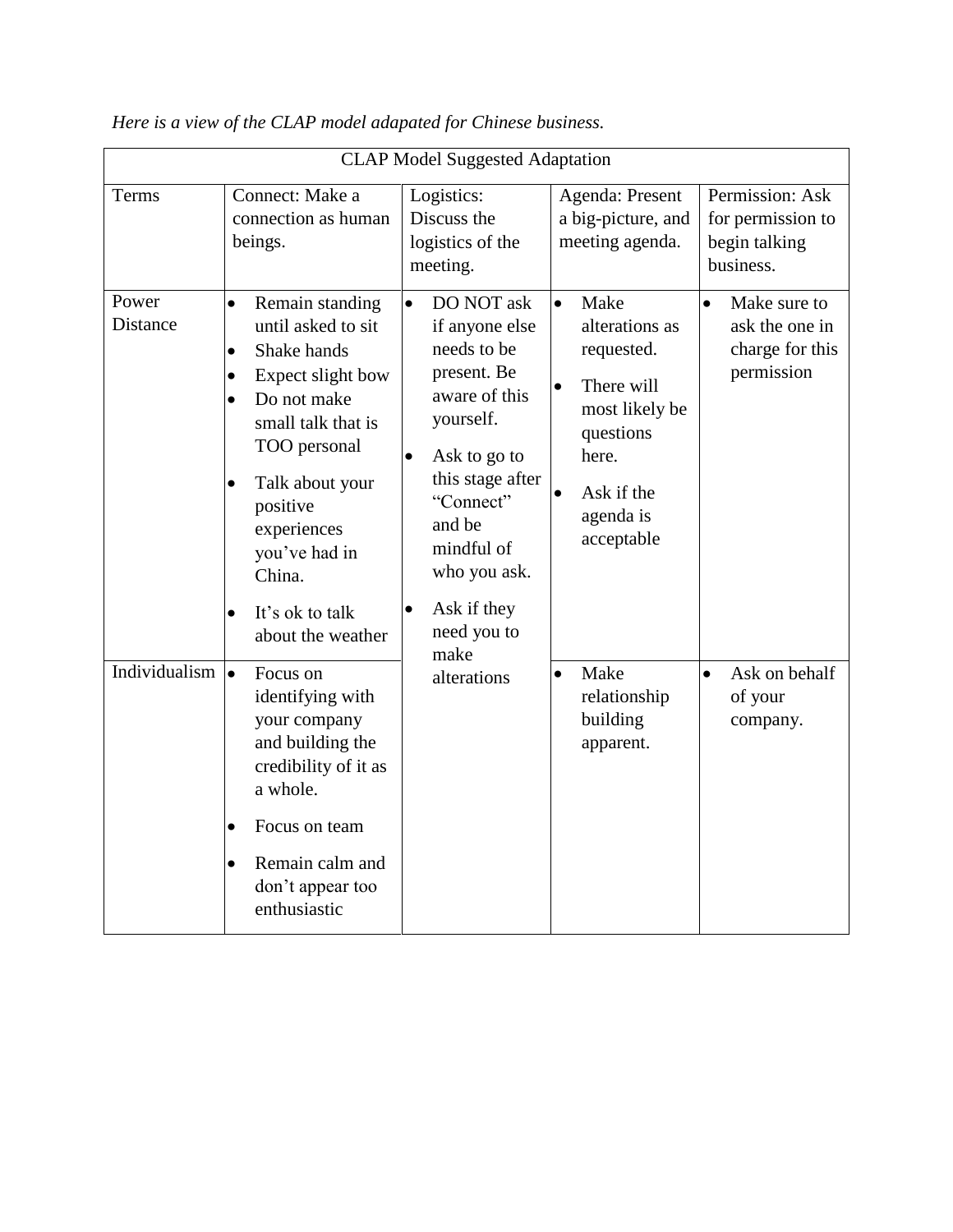| <b>CLAP Model Suggested Adaptation</b> |                                                                                                                                                                                                                                                                                                                               |                                                                                                                                                                                                                             |                                                                                                                                                                    |                                                                              |
|----------------------------------------|-------------------------------------------------------------------------------------------------------------------------------------------------------------------------------------------------------------------------------------------------------------------------------------------------------------------------------|-----------------------------------------------------------------------------------------------------------------------------------------------------------------------------------------------------------------------------|--------------------------------------------------------------------------------------------------------------------------------------------------------------------|------------------------------------------------------------------------------|
| Terms<br>Power                         | Connect: Make a<br>connection as human<br>beings.                                                                                                                                                                                                                                                                             | Logistics:<br>Discuss the<br>logistics of the<br>meeting.<br>DO NOT ask<br>$\bullet$                                                                                                                                        | Agenda: Present<br>a big-picture, and<br>meeting agenda.<br>Make                                                                                                   | Permission: Ask<br>for permission to<br>begin talking<br>business.           |
| Distance                               | Remain standing<br>$\bullet$<br>until asked to sit<br>Shake hands<br>$\bullet$<br>Expect slight bow<br>$\bullet$<br>Do not make<br>$\bullet$<br>small talk that is<br>TOO personal<br>Talk about your<br>$\bullet$<br>positive<br>experiences<br>you've had in<br>China.<br>It's ok to talk<br>$\bullet$<br>about the weather | if anyone else<br>needs to be<br>present. Be<br>aware of this<br>yourself.<br>$\bullet$<br>Ask to go to<br>this stage after<br>"Connect"<br>and be<br>mindful of<br>who you ask.<br>Ask if they<br>$\bullet$<br>need you to | $\bullet$<br>alterations as<br>requested.<br>There will<br>$\bullet$<br>most likely be<br>questions<br>here.<br>Ask if the<br>$\bullet$<br>agenda is<br>acceptable | Make sure to<br>$\bullet$<br>ask the one in<br>charge for this<br>permission |
| Individualism                          | $\bullet$<br>Focus on<br>identifying with<br>your company<br>and building the<br>credibility of it as<br>a whole.<br>Focus on team<br>$\bullet$<br>Remain calm and<br>$\bullet$<br>don't appear too<br>enthusiastic                                                                                                           | make<br>alterations                                                                                                                                                                                                         | Make<br>$\bullet$<br>relationship<br>building<br>apparent.                                                                                                         | Ask on behalf<br>$\bullet$<br>of your<br>company.                            |

*Here is a view of the CLAP model adapated for Chinese business.*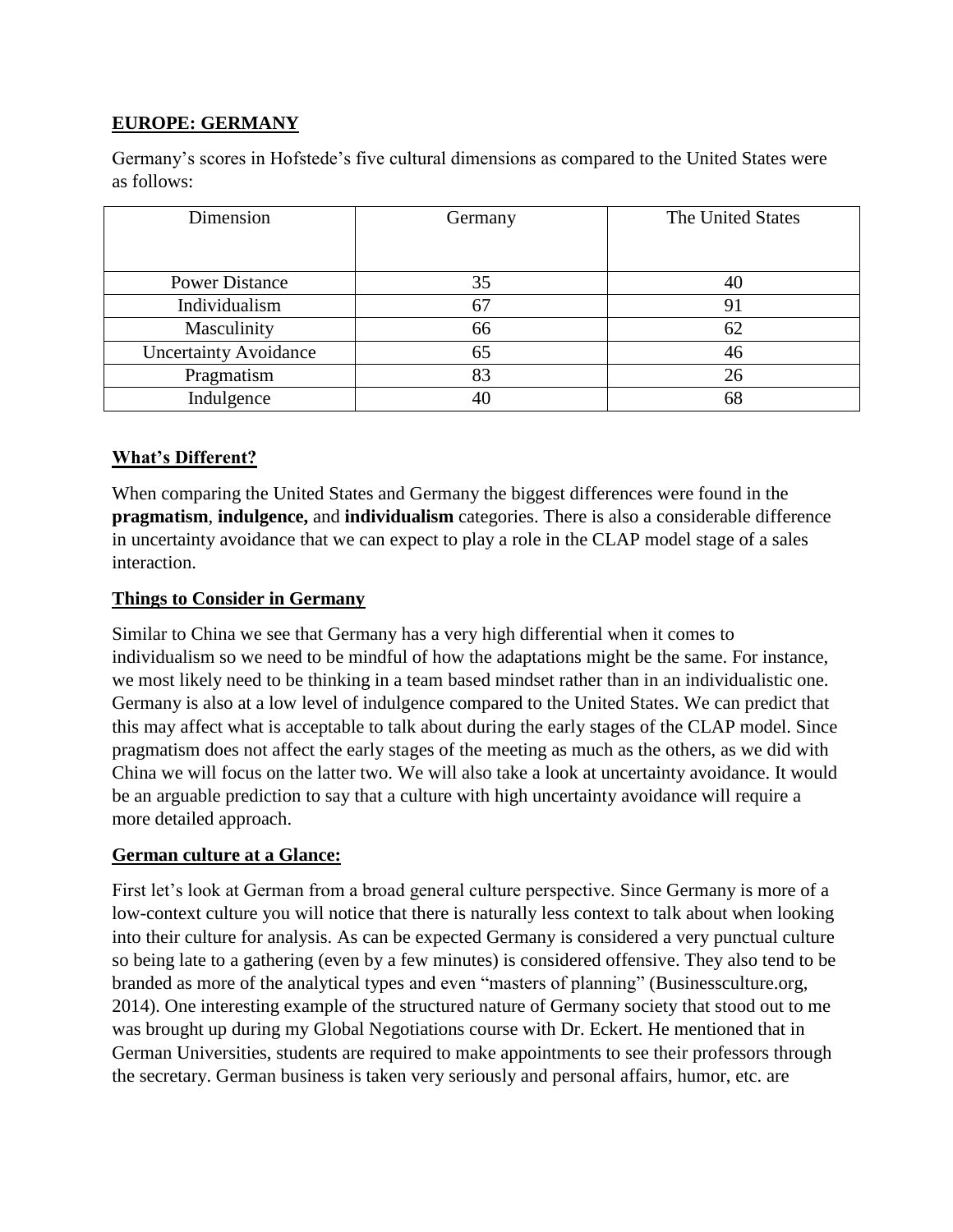# **EUROPE: GERMANY**

Germany's scores in Hofstede's five cultural dimensions as compared to the United States were as follows:

| Dimension                    | Germany | The United States |  |
|------------------------------|---------|-------------------|--|
|                              |         |                   |  |
| <b>Power Distance</b>        | 35      | 40                |  |
| Individualism                | 67      | 91                |  |
| Masculinity                  | 66      | 62                |  |
| <b>Uncertainty Avoidance</b> | 65      | 46                |  |
| Pragmatism                   | 83      | 26                |  |
| Indulgence                   | 40      | 68                |  |

#### **What's Different?**

When comparing the United States and Germany the biggest differences were found in the **pragmatism**, **indulgence,** and **individualism** categories. There is also a considerable difference in uncertainty avoidance that we can expect to play a role in the CLAP model stage of a sales interaction.

#### **Things to Consider in Germany**

Similar to China we see that Germany has a very high differential when it comes to individualism so we need to be mindful of how the adaptations might be the same. For instance, we most likely need to be thinking in a team based mindset rather than in an individualistic one. Germany is also at a low level of indulgence compared to the United States. We can predict that this may affect what is acceptable to talk about during the early stages of the CLAP model. Since pragmatism does not affect the early stages of the meeting as much as the others, as we did with China we will focus on the latter two. We will also take a look at uncertainty avoidance. It would be an arguable prediction to say that a culture with high uncertainty avoidance will require a more detailed approach.

#### **German culture at a Glance:**

First let's look at German from a broad general culture perspective. Since Germany is more of a low-context culture you will notice that there is naturally less context to talk about when looking into their culture for analysis. As can be expected Germany is considered a very punctual culture so being late to a gathering (even by a few minutes) is considered offensive. They also tend to be branded as more of the analytical types and even "masters of planning" (Businessculture.org, 2014). One interesting example of the structured nature of Germany society that stood out to me was brought up during my Global Negotiations course with Dr. Eckert. He mentioned that in German Universities, students are required to make appointments to see their professors through the secretary. German business is taken very seriously and personal affairs, humor, etc. are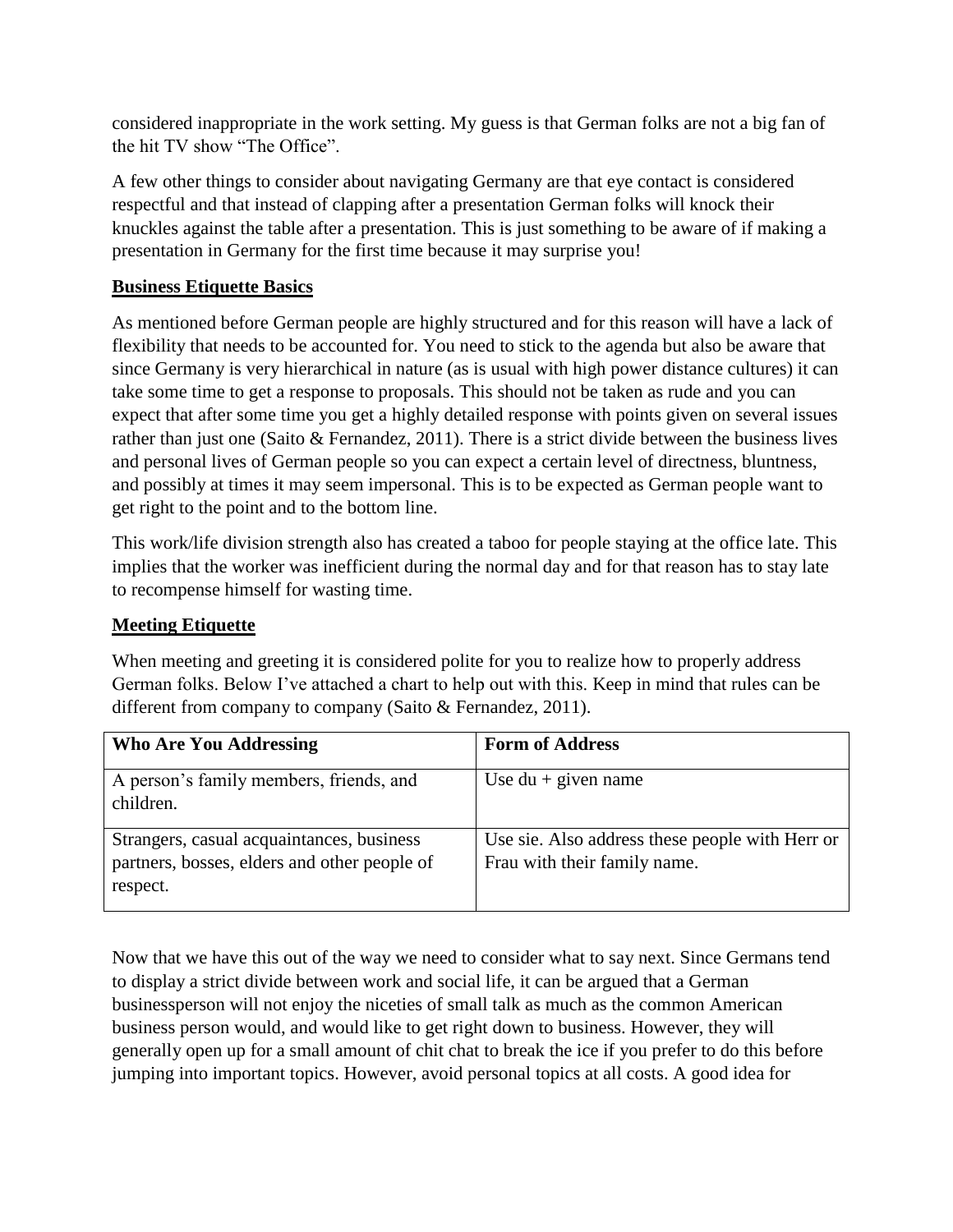considered inappropriate in the work setting. My guess is that German folks are not a big fan of the hit TV show "The Office".

A few other things to consider about navigating Germany are that eye contact is considered respectful and that instead of clapping after a presentation German folks will knock their knuckles against the table after a presentation. This is just something to be aware of if making a presentation in Germany for the first time because it may surprise you!

# **Business Etiquette Basics**

As mentioned before German people are highly structured and for this reason will have a lack of flexibility that needs to be accounted for. You need to stick to the agenda but also be aware that since Germany is very hierarchical in nature (as is usual with high power distance cultures) it can take some time to get a response to proposals. This should not be taken as rude and you can expect that after some time you get a highly detailed response with points given on several issues rather than just one (Saito & Fernandez, 2011). There is a strict divide between the business lives and personal lives of German people so you can expect a certain level of directness, bluntness, and possibly at times it may seem impersonal. This is to be expected as German people want to get right to the point and to the bottom line.

This work/life division strength also has created a taboo for people staying at the office late. This implies that the worker was inefficient during the normal day and for that reason has to stay late to recompense himself for wasting time.

#### **Meeting Etiquette**

When meeting and greeting it is considered polite for you to realize how to properly address German folks. Below I've attached a chart to help out with this. Keep in mind that rules can be different from company to company (Saito & Fernandez, 2011).

| <b>Who Are You Addressing</b>                                                                         | <b>Form of Address</b>                                                          |
|-------------------------------------------------------------------------------------------------------|---------------------------------------------------------------------------------|
| A person's family members, friends, and<br>children.                                                  | Use $du +$ given name                                                           |
| Strangers, casual acquaintances, business<br>partners, bosses, elders and other people of<br>respect. | Use sie. Also address these people with Herr or<br>Frau with their family name. |

Now that we have this out of the way we need to consider what to say next. Since Germans tend to display a strict divide between work and social life, it can be argued that a German businessperson will not enjoy the niceties of small talk as much as the common American business person would, and would like to get right down to business. However, they will generally open up for a small amount of chit chat to break the ice if you prefer to do this before jumping into important topics. However, avoid personal topics at all costs. A good idea for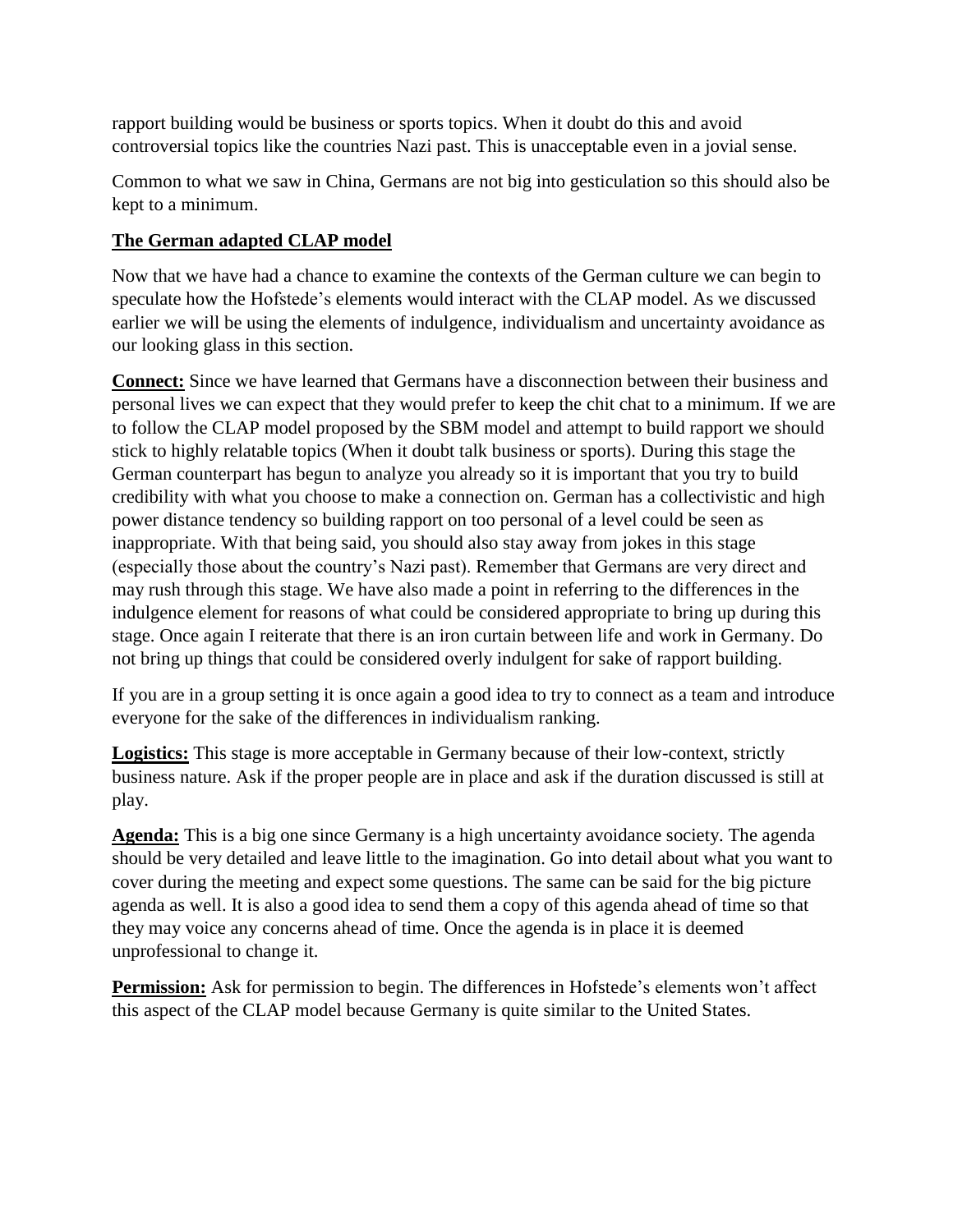rapport building would be business or sports topics. When it doubt do this and avoid controversial topics like the countries Nazi past. This is unacceptable even in a jovial sense.

Common to what we saw in China, Germans are not big into gesticulation so this should also be kept to a minimum.

# **The German adapted CLAP model**

Now that we have had a chance to examine the contexts of the German culture we can begin to speculate how the Hofstede's elements would interact with the CLAP model. As we discussed earlier we will be using the elements of indulgence, individualism and uncertainty avoidance as our looking glass in this section.

**Connect:** Since we have learned that Germans have a disconnection between their business and personal lives we can expect that they would prefer to keep the chit chat to a minimum. If we are to follow the CLAP model proposed by the SBM model and attempt to build rapport we should stick to highly relatable topics (When it doubt talk business or sports). During this stage the German counterpart has begun to analyze you already so it is important that you try to build credibility with what you choose to make a connection on. German has a collectivistic and high power distance tendency so building rapport on too personal of a level could be seen as inappropriate. With that being said, you should also stay away from jokes in this stage (especially those about the country's Nazi past). Remember that Germans are very direct and may rush through this stage. We have also made a point in referring to the differences in the indulgence element for reasons of what could be considered appropriate to bring up during this stage. Once again I reiterate that there is an iron curtain between life and work in Germany. Do not bring up things that could be considered overly indulgent for sake of rapport building.

If you are in a group setting it is once again a good idea to try to connect as a team and introduce everyone for the sake of the differences in individualism ranking.

**Logistics:** This stage is more acceptable in Germany because of their low-context, strictly business nature. Ask if the proper people are in place and ask if the duration discussed is still at play.

**Agenda:** This is a big one since Germany is a high uncertainty avoidance society. The agenda should be very detailed and leave little to the imagination. Go into detail about what you want to cover during the meeting and expect some questions. The same can be said for the big picture agenda as well. It is also a good idea to send them a copy of this agenda ahead of time so that they may voice any concerns ahead of time. Once the agenda is in place it is deemed unprofessional to change it.

**Permission:** Ask for permission to begin. The differences in Hofstede's elements won't affect this aspect of the CLAP model because Germany is quite similar to the United States.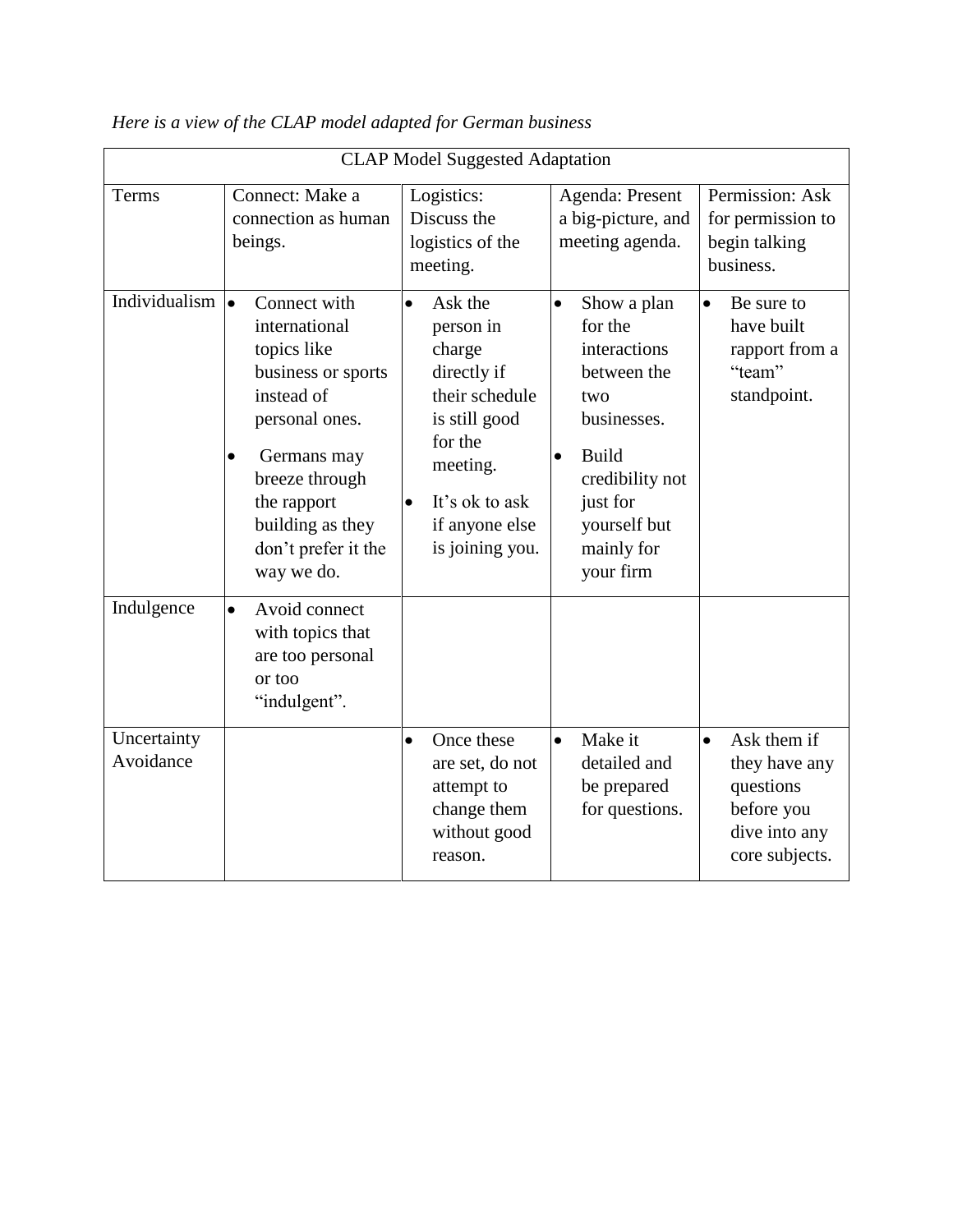| <b>CLAP Model Suggested Adaptation</b> |                                                                                                                                                                                                                                       |                                                                                                                                                                                          |                                                                                                                                                                                                 |                                                                                                         |
|----------------------------------------|---------------------------------------------------------------------------------------------------------------------------------------------------------------------------------------------------------------------------------------|------------------------------------------------------------------------------------------------------------------------------------------------------------------------------------------|-------------------------------------------------------------------------------------------------------------------------------------------------------------------------------------------------|---------------------------------------------------------------------------------------------------------|
| Terms                                  | Connect: Make a<br>connection as human<br>beings.                                                                                                                                                                                     | Logistics:<br>Discuss the<br>logistics of the<br>meeting.                                                                                                                                | Agenda: Present<br>a big-picture, and<br>meeting agenda.                                                                                                                                        | Permission: Ask<br>for permission to<br>begin talking<br>business.                                      |
| Individualism                          | $\bullet$<br>Connect with<br>international<br>topics like<br>business or sports<br>instead of<br>personal ones.<br>Germans may<br>$\bullet$<br>breeze through<br>the rapport<br>building as they<br>don't prefer it the<br>way we do. | Ask the<br>$\bullet$<br>person in<br>charge<br>directly if<br>their schedule<br>is still good<br>for the<br>meeting.<br>It's ok to ask<br>$\bullet$<br>if anyone else<br>is joining you. | Show a plan<br>$\bullet$<br>for the<br>interactions<br>between the<br>two<br>businesses.<br><b>Build</b><br>$\bullet$<br>credibility not<br>just for<br>yourself but<br>mainly for<br>your firm | Be sure to<br>$\bullet$<br>have built<br>rapport from a<br>"team"<br>standpoint.                        |
| Indulgence                             | Avoid connect<br>$\bullet$<br>with topics that<br>are too personal<br>or too<br>"indulgent".                                                                                                                                          |                                                                                                                                                                                          |                                                                                                                                                                                                 |                                                                                                         |
| Uncertainty<br>Avoidance               |                                                                                                                                                                                                                                       | Once these<br>$\bullet$<br>are set, do not<br>attempt to<br>change them<br>without good<br>reason.                                                                                       | Make it<br>$\bullet$<br>detailed and<br>be prepared<br>for questions.                                                                                                                           | Ask them if<br>$\bullet$<br>they have any<br>questions<br>before you<br>dive into any<br>core subjects. |

*Here is a view of the CLAP model adapted for German business*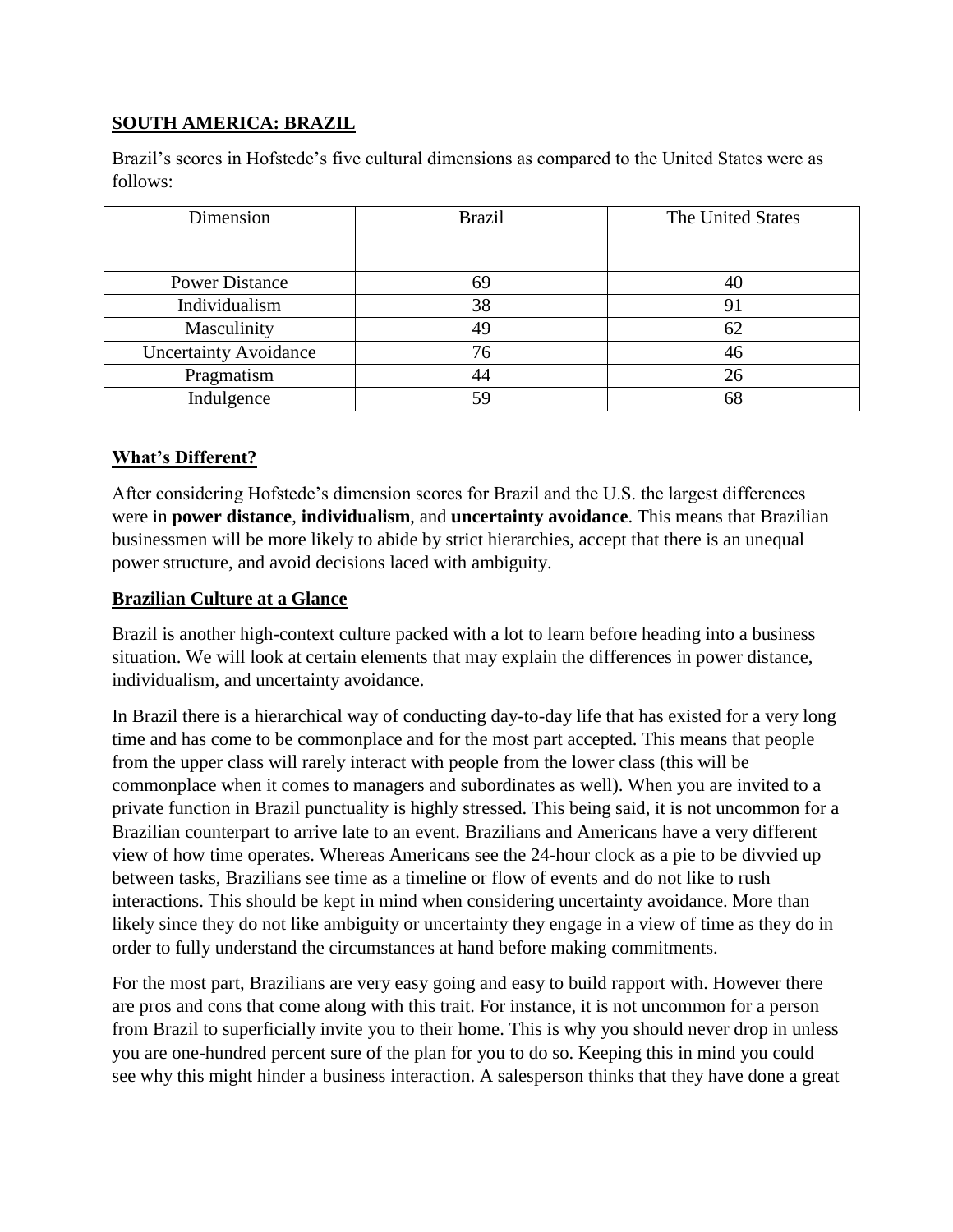# **SOUTH AMERICA: BRAZIL**

Brazil's scores in Hofstede's five cultural dimensions as compared to the United States were as follows:

| Dimension                    | <b>Brazil</b> | The United States |
|------------------------------|---------------|-------------------|
|                              |               |                   |
| <b>Power Distance</b>        | 69            | 40                |
| Individualism                | 38            | 91                |
| Masculinity                  | 49            | 62                |
| <b>Uncertainty Avoidance</b> | 76            | 46                |
| Pragmatism                   | 44            | 26                |
| Indulgence                   | 59            | 68                |

#### **What's Different?**

After considering Hofstede's dimension scores for Brazil and the U.S. the largest differences were in **power distance**, **individualism**, and **uncertainty avoidance**. This means that Brazilian businessmen will be more likely to abide by strict hierarchies, accept that there is an unequal power structure, and avoid decisions laced with ambiguity.

#### **Brazilian Culture at a Glance**

Brazil is another high-context culture packed with a lot to learn before heading into a business situation. We will look at certain elements that may explain the differences in power distance, individualism, and uncertainty avoidance.

In Brazil there is a hierarchical way of conducting day-to-day life that has existed for a very long time and has come to be commonplace and for the most part accepted. This means that people from the upper class will rarely interact with people from the lower class (this will be commonplace when it comes to managers and subordinates as well). When you are invited to a private function in Brazil punctuality is highly stressed. This being said, it is not uncommon for a Brazilian counterpart to arrive late to an event. Brazilians and Americans have a very different view of how time operates. Whereas Americans see the 24-hour clock as a pie to be divvied up between tasks, Brazilians see time as a timeline or flow of events and do not like to rush interactions. This should be kept in mind when considering uncertainty avoidance. More than likely since they do not like ambiguity or uncertainty they engage in a view of time as they do in order to fully understand the circumstances at hand before making commitments.

For the most part, Brazilians are very easy going and easy to build rapport with. However there are pros and cons that come along with this trait. For instance, it is not uncommon for a person from Brazil to superficially invite you to their home. This is why you should never drop in unless you are one-hundred percent sure of the plan for you to do so. Keeping this in mind you could see why this might hinder a business interaction. A salesperson thinks that they have done a great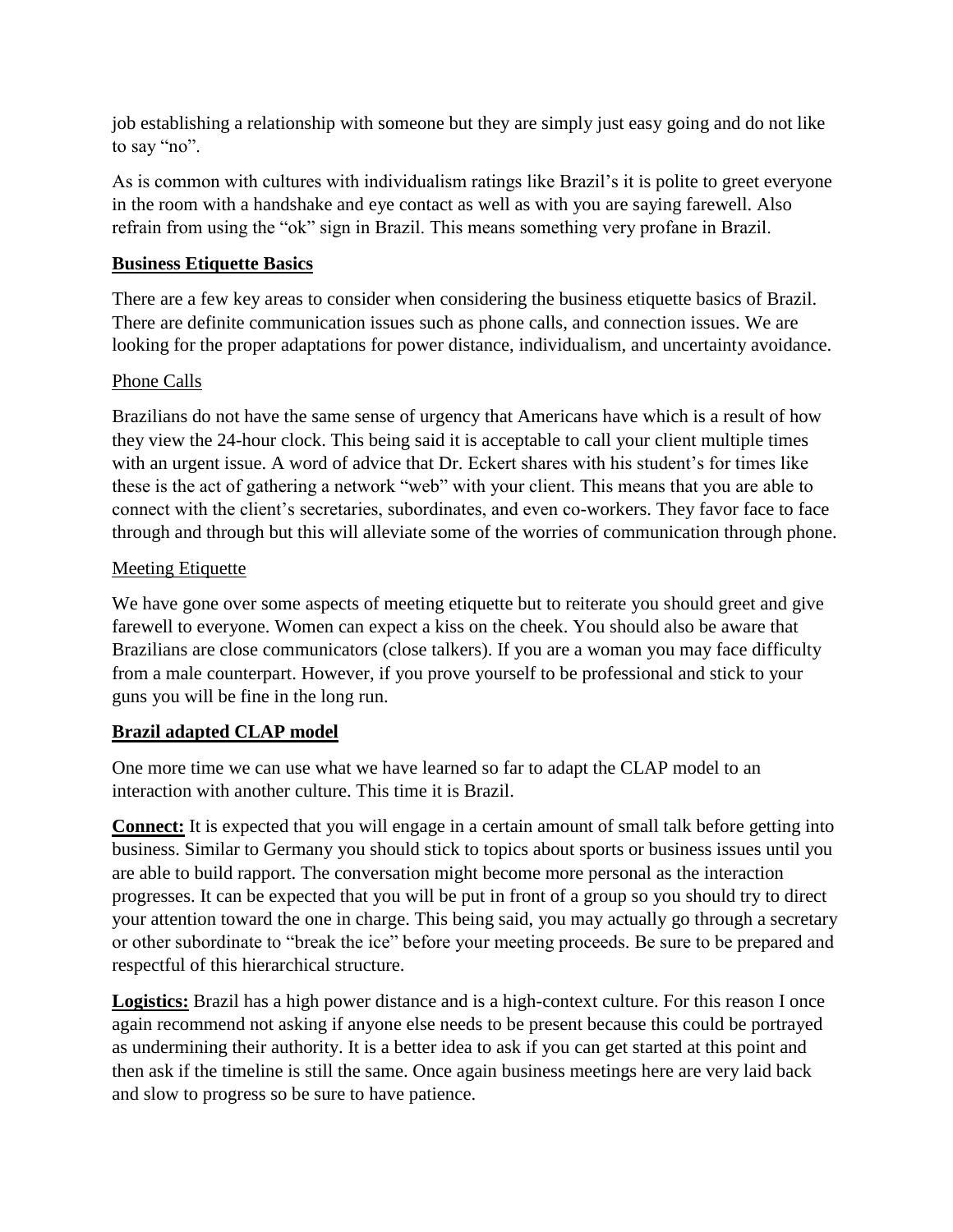job establishing a relationship with someone but they are simply just easy going and do not like to say "no".

As is common with cultures with individualism ratings like Brazil's it is polite to greet everyone in the room with a handshake and eye contact as well as with you are saying farewell. Also refrain from using the "ok" sign in Brazil. This means something very profane in Brazil.

# **Business Etiquette Basics**

There are a few key areas to consider when considering the business etiquette basics of Brazil. There are definite communication issues such as phone calls, and connection issues. We are looking for the proper adaptations for power distance, individualism, and uncertainty avoidance.

# Phone Calls

Brazilians do not have the same sense of urgency that Americans have which is a result of how they view the 24-hour clock. This being said it is acceptable to call your client multiple times with an urgent issue. A word of advice that Dr. Eckert shares with his student's for times like these is the act of gathering a network "web" with your client. This means that you are able to connect with the client's secretaries, subordinates, and even co-workers. They favor face to face through and through but this will alleviate some of the worries of communication through phone.

#### Meeting Etiquette

We have gone over some aspects of meeting etiquette but to reiterate you should greet and give farewell to everyone. Women can expect a kiss on the cheek. You should also be aware that Brazilians are close communicators (close talkers). If you are a woman you may face difficulty from a male counterpart. However, if you prove yourself to be professional and stick to your guns you will be fine in the long run.

#### **Brazil adapted CLAP model**

One more time we can use what we have learned so far to adapt the CLAP model to an interaction with another culture. This time it is Brazil.

**Connect:** It is expected that you will engage in a certain amount of small talk before getting into business. Similar to Germany you should stick to topics about sports or business issues until you are able to build rapport. The conversation might become more personal as the interaction progresses. It can be expected that you will be put in front of a group so you should try to direct your attention toward the one in charge. This being said, you may actually go through a secretary or other subordinate to "break the ice" before your meeting proceeds. Be sure to be prepared and respectful of this hierarchical structure.

**Logistics:** Brazil has a high power distance and is a high-context culture. For this reason I once again recommend not asking if anyone else needs to be present because this could be portrayed as undermining their authority. It is a better idea to ask if you can get started at this point and then ask if the timeline is still the same. Once again business meetings here are very laid back and slow to progress so be sure to have patience.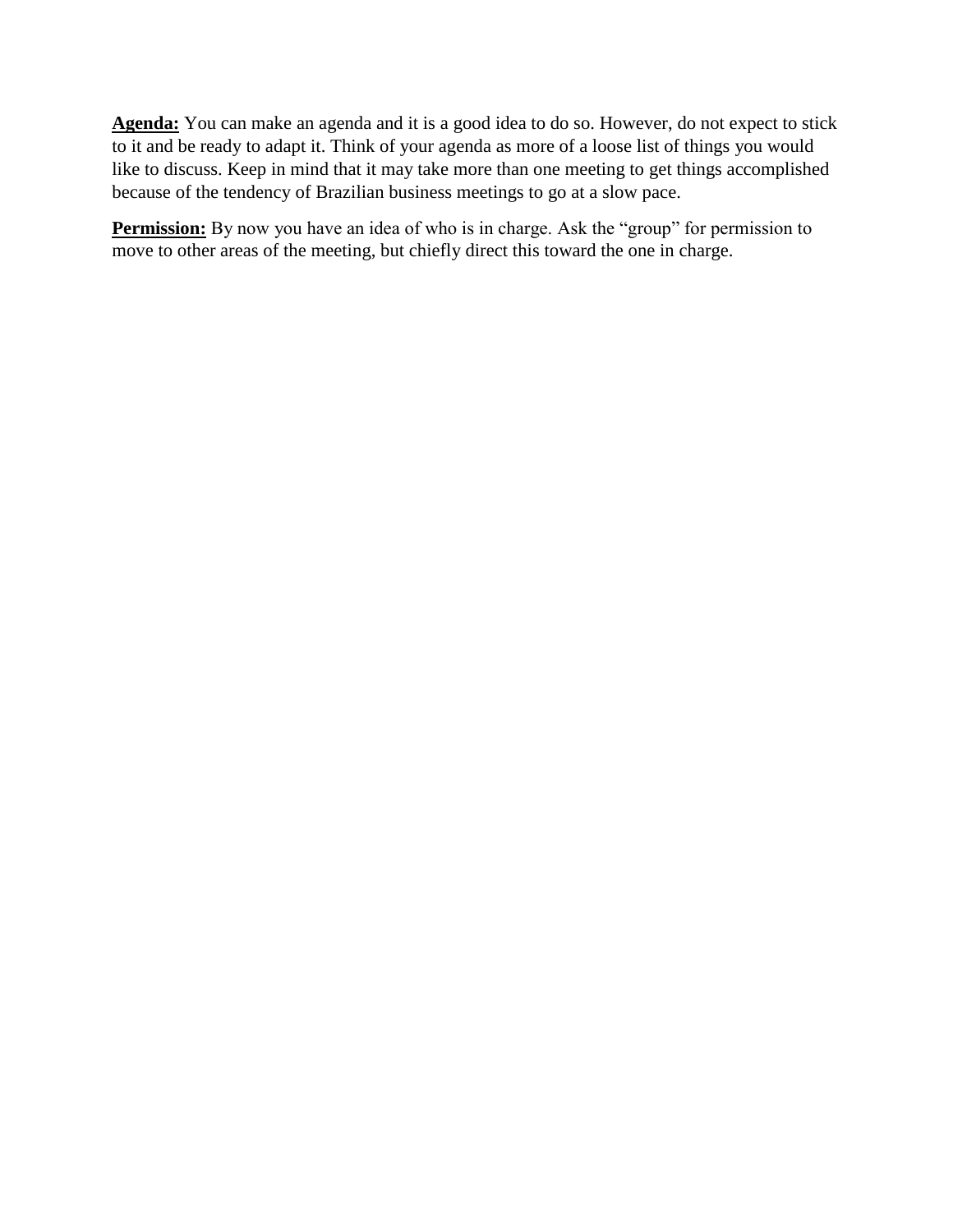**Agenda:** You can make an agenda and it is a good idea to do so. However, do not expect to stick to it and be ready to adapt it. Think of your agenda as more of a loose list of things you would like to discuss. Keep in mind that it may take more than one meeting to get things accomplished because of the tendency of Brazilian business meetings to go at a slow pace.

**Permission:** By now you have an idea of who is in charge. Ask the "group" for permission to move to other areas of the meeting, but chiefly direct this toward the one in charge.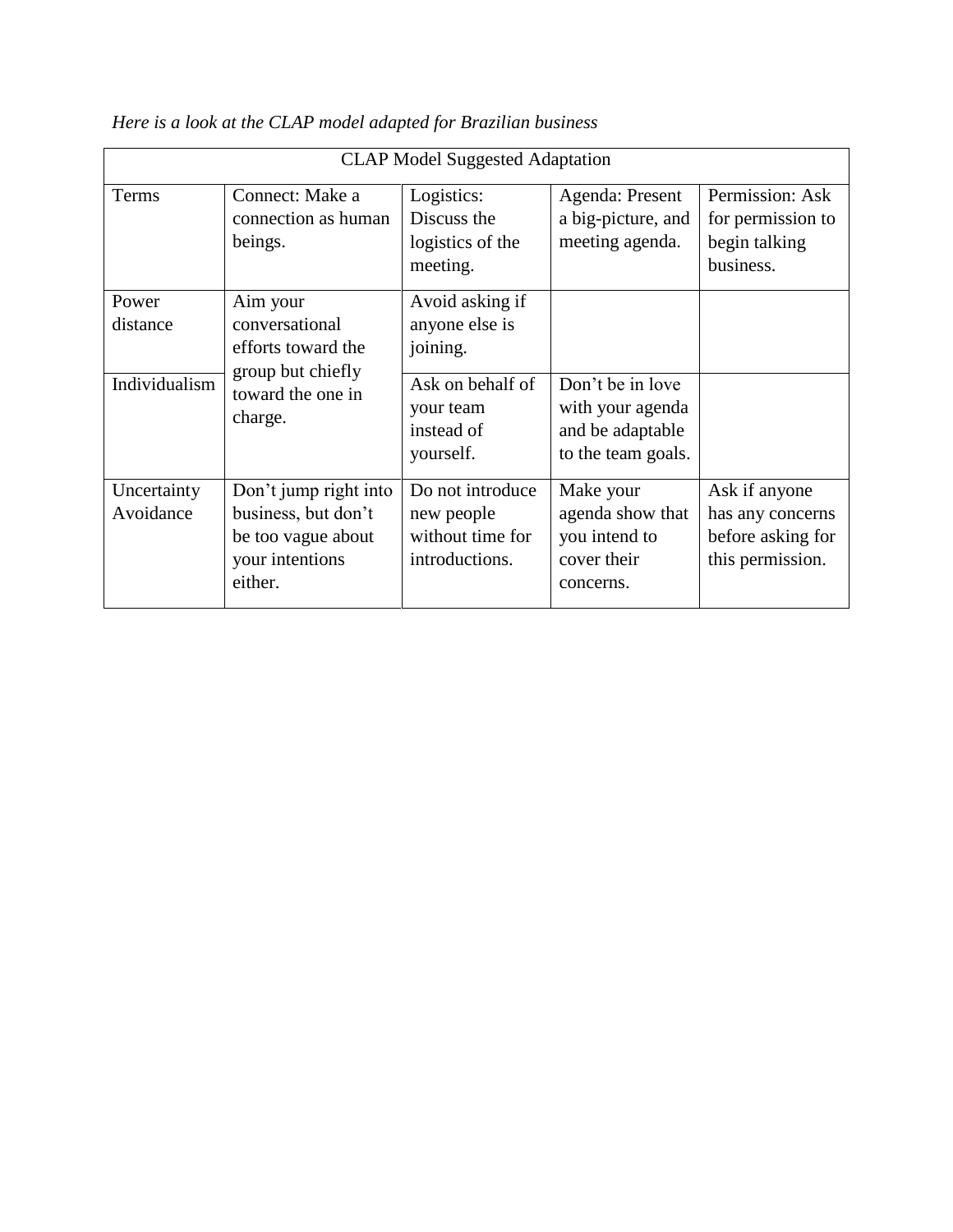| <b>CLAP Model Suggested Adaptation</b> |                                                                                                       |                                                                                                           |                                                                                |                                                                            |
|----------------------------------------|-------------------------------------------------------------------------------------------------------|-----------------------------------------------------------------------------------------------------------|--------------------------------------------------------------------------------|----------------------------------------------------------------------------|
| Terms                                  | Connect: Make a<br>connection as human<br>beings.                                                     | Logistics:<br>Discuss the<br>logistics of the<br>meeting.                                                 | Agenda: Present<br>a big-picture, and<br>meeting agenda.                       | Permission: Ask<br>for permission to<br>begin talking<br>business.         |
| Power<br>distance<br>Individualism     | Aim your<br>conversational<br>efforts toward the<br>group but chiefly<br>toward the one in<br>charge. | Avoid asking if<br>anyone else is<br>joining.<br>Ask on behalf of<br>your team<br>instead of<br>yourself. | Don't be in love<br>with your agenda<br>and be adaptable<br>to the team goals. |                                                                            |
| Uncertainty<br>Avoidance               | Don't jump right into<br>business, but don't<br>be too vague about<br>your intentions<br>either.      | Do not introduce<br>new people<br>without time for<br>introductions.                                      | Make your<br>agenda show that<br>you intend to<br>cover their<br>concerns.     | Ask if anyone<br>has any concerns<br>before asking for<br>this permission. |

*Here is a look at the CLAP model adapted for Brazilian business*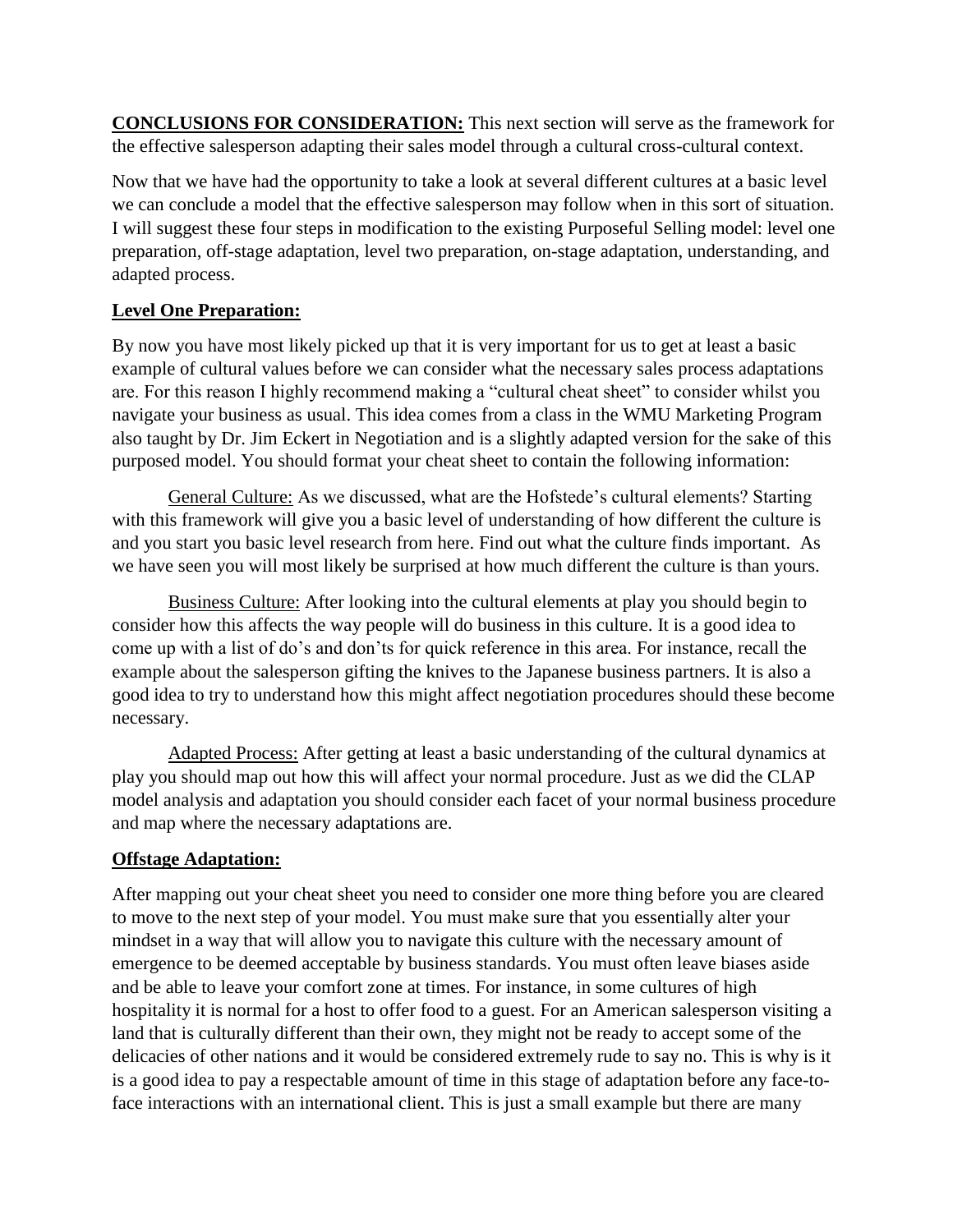**CONCLUSIONS FOR CONSIDERATION:** This next section will serve as the framework for the effective salesperson adapting their sales model through a cultural cross-cultural context.

Now that we have had the opportunity to take a look at several different cultures at a basic level we can conclude a model that the effective salesperson may follow when in this sort of situation. I will suggest these four steps in modification to the existing Purposeful Selling model: level one preparation, off-stage adaptation, level two preparation, on-stage adaptation, understanding, and adapted process.

# **Level One Preparation:**

By now you have most likely picked up that it is very important for us to get at least a basic example of cultural values before we can consider what the necessary sales process adaptations are. For this reason I highly recommend making a "cultural cheat sheet" to consider whilst you navigate your business as usual. This idea comes from a class in the WMU Marketing Program also taught by Dr. Jim Eckert in Negotiation and is a slightly adapted version for the sake of this purposed model. You should format your cheat sheet to contain the following information:

General Culture: As we discussed, what are the Hofstede's cultural elements? Starting with this framework will give you a basic level of understanding of how different the culture is and you start you basic level research from here. Find out what the culture finds important. As we have seen you will most likely be surprised at how much different the culture is than yours.

Business Culture: After looking into the cultural elements at play you should begin to consider how this affects the way people will do business in this culture. It is a good idea to come up with a list of do's and don'ts for quick reference in this area. For instance, recall the example about the salesperson gifting the knives to the Japanese business partners. It is also a good idea to try to understand how this might affect negotiation procedures should these become necessary.

Adapted Process: After getting at least a basic understanding of the cultural dynamics at play you should map out how this will affect your normal procedure. Just as we did the CLAP model analysis and adaptation you should consider each facet of your normal business procedure and map where the necessary adaptations are.

#### **Offstage Adaptation:**

After mapping out your cheat sheet you need to consider one more thing before you are cleared to move to the next step of your model. You must make sure that you essentially alter your mindset in a way that will allow you to navigate this culture with the necessary amount of emergence to be deemed acceptable by business standards. You must often leave biases aside and be able to leave your comfort zone at times. For instance, in some cultures of high hospitality it is normal for a host to offer food to a guest. For an American salesperson visiting a land that is culturally different than their own, they might not be ready to accept some of the delicacies of other nations and it would be considered extremely rude to say no. This is why is it is a good idea to pay a respectable amount of time in this stage of adaptation before any face-toface interactions with an international client. This is just a small example but there are many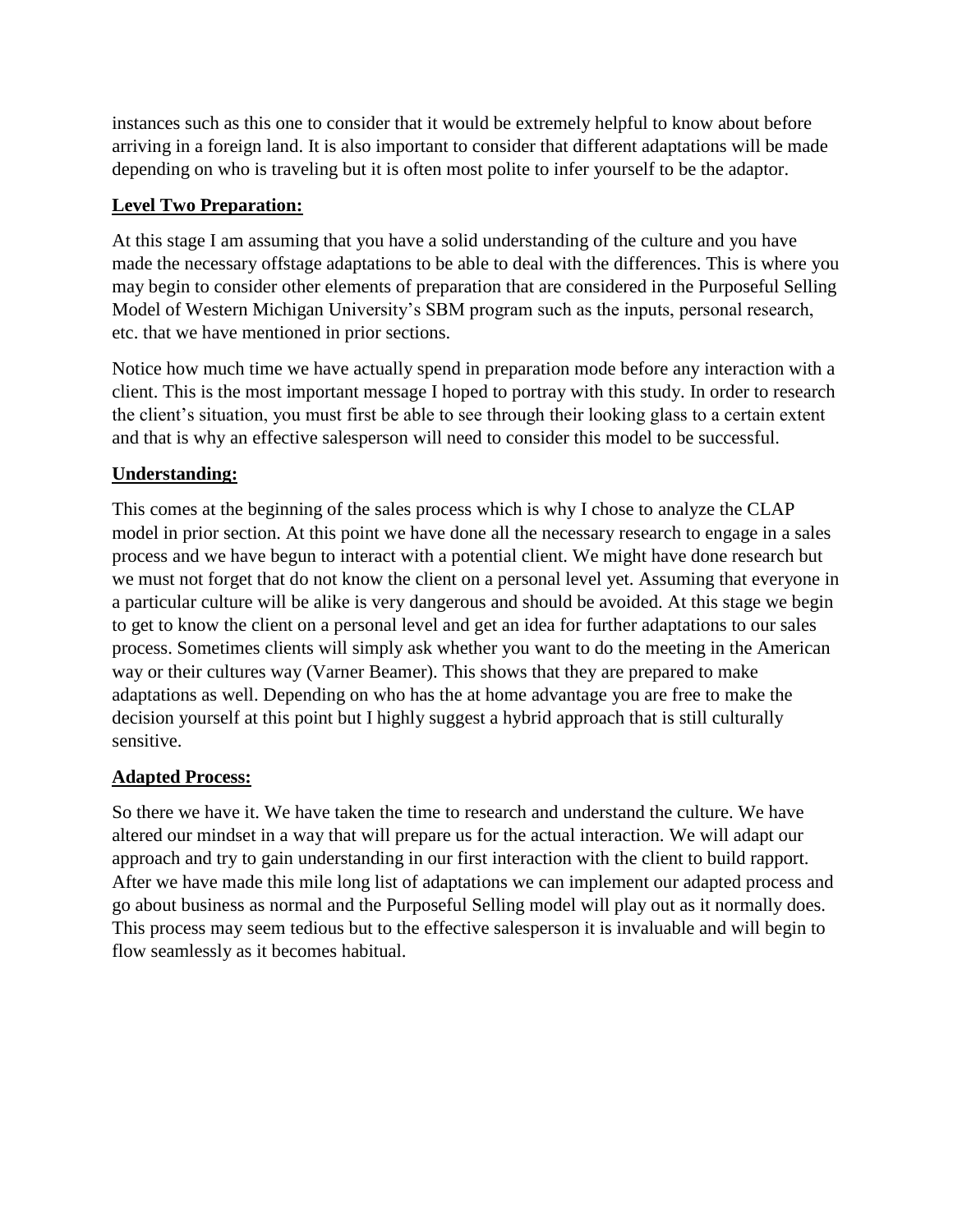instances such as this one to consider that it would be extremely helpful to know about before arriving in a foreign land. It is also important to consider that different adaptations will be made depending on who is traveling but it is often most polite to infer yourself to be the adaptor.

# **Level Two Preparation:**

At this stage I am assuming that you have a solid understanding of the culture and you have made the necessary offstage adaptations to be able to deal with the differences. This is where you may begin to consider other elements of preparation that are considered in the Purposeful Selling Model of Western Michigan University's SBM program such as the inputs, personal research, etc. that we have mentioned in prior sections.

Notice how much time we have actually spend in preparation mode before any interaction with a client. This is the most important message I hoped to portray with this study. In order to research the client's situation, you must first be able to see through their looking glass to a certain extent and that is why an effective salesperson will need to consider this model to be successful.

# **Understanding:**

This comes at the beginning of the sales process which is why I chose to analyze the CLAP model in prior section. At this point we have done all the necessary research to engage in a sales process and we have begun to interact with a potential client. We might have done research but we must not forget that do not know the client on a personal level yet. Assuming that everyone in a particular culture will be alike is very dangerous and should be avoided. At this stage we begin to get to know the client on a personal level and get an idea for further adaptations to our sales process. Sometimes clients will simply ask whether you want to do the meeting in the American way or their cultures way (Varner Beamer). This shows that they are prepared to make adaptations as well. Depending on who has the at home advantage you are free to make the decision yourself at this point but I highly suggest a hybrid approach that is still culturally sensitive.

#### **Adapted Process:**

So there we have it. We have taken the time to research and understand the culture. We have altered our mindset in a way that will prepare us for the actual interaction. We will adapt our approach and try to gain understanding in our first interaction with the client to build rapport. After we have made this mile long list of adaptations we can implement our adapted process and go about business as normal and the Purposeful Selling model will play out as it normally does. This process may seem tedious but to the effective salesperson it is invaluable and will begin to flow seamlessly as it becomes habitual.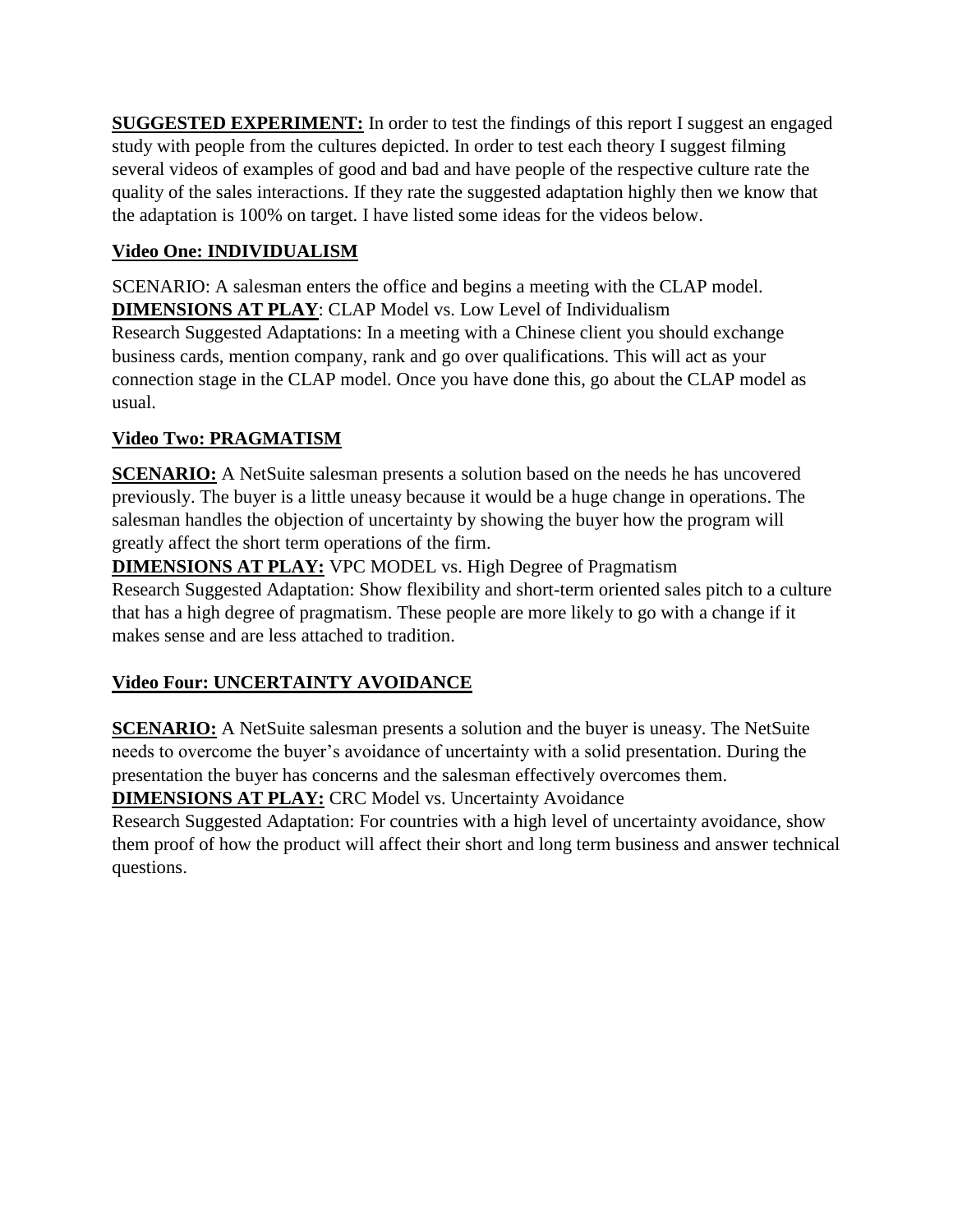**SUGGESTED EXPERIMENT:** In order to test the findings of this report I suggest an engaged study with people from the cultures depicted. In order to test each theory I suggest filming several videos of examples of good and bad and have people of the respective culture rate the quality of the sales interactions. If they rate the suggested adaptation highly then we know that the adaptation is 100% on target. I have listed some ideas for the videos below.

# **Video One: INDIVIDUALISM**

SCENARIO: A salesman enters the office and begins a meeting with the CLAP model. **DIMENSIONS AT PLAY**: CLAP Model vs. Low Level of Individualism Research Suggested Adaptations: In a meeting with a Chinese client you should exchange business cards, mention company, rank and go over qualifications. This will act as your connection stage in the CLAP model. Once you have done this, go about the CLAP model as usual.

# **Video Two: PRAGMATISM**

**SCENARIO:** A NetSuite salesman presents a solution based on the needs he has uncovered previously. The buyer is a little uneasy because it would be a huge change in operations. The salesman handles the objection of uncertainty by showing the buyer how the program will greatly affect the short term operations of the firm.

**DIMENSIONS AT PLAY:** VPC MODEL vs. High Degree of Pragmatism Research Suggested Adaptation: Show flexibility and short-term oriented sales pitch to a culture that has a high degree of pragmatism. These people are more likely to go with a change if it makes sense and are less attached to tradition.

# **Video Four: UNCERTAINTY AVOIDANCE**

**SCENARIO:** A NetSuite salesman presents a solution and the buyer is uneasy. The NetSuite needs to overcome the buyer's avoidance of uncertainty with a solid presentation. During the presentation the buyer has concerns and the salesman effectively overcomes them.

**DIMENSIONS AT PLAY:** CRC Model vs. Uncertainty Avoidance

Research Suggested Adaptation: For countries with a high level of uncertainty avoidance, show them proof of how the product will affect their short and long term business and answer technical questions.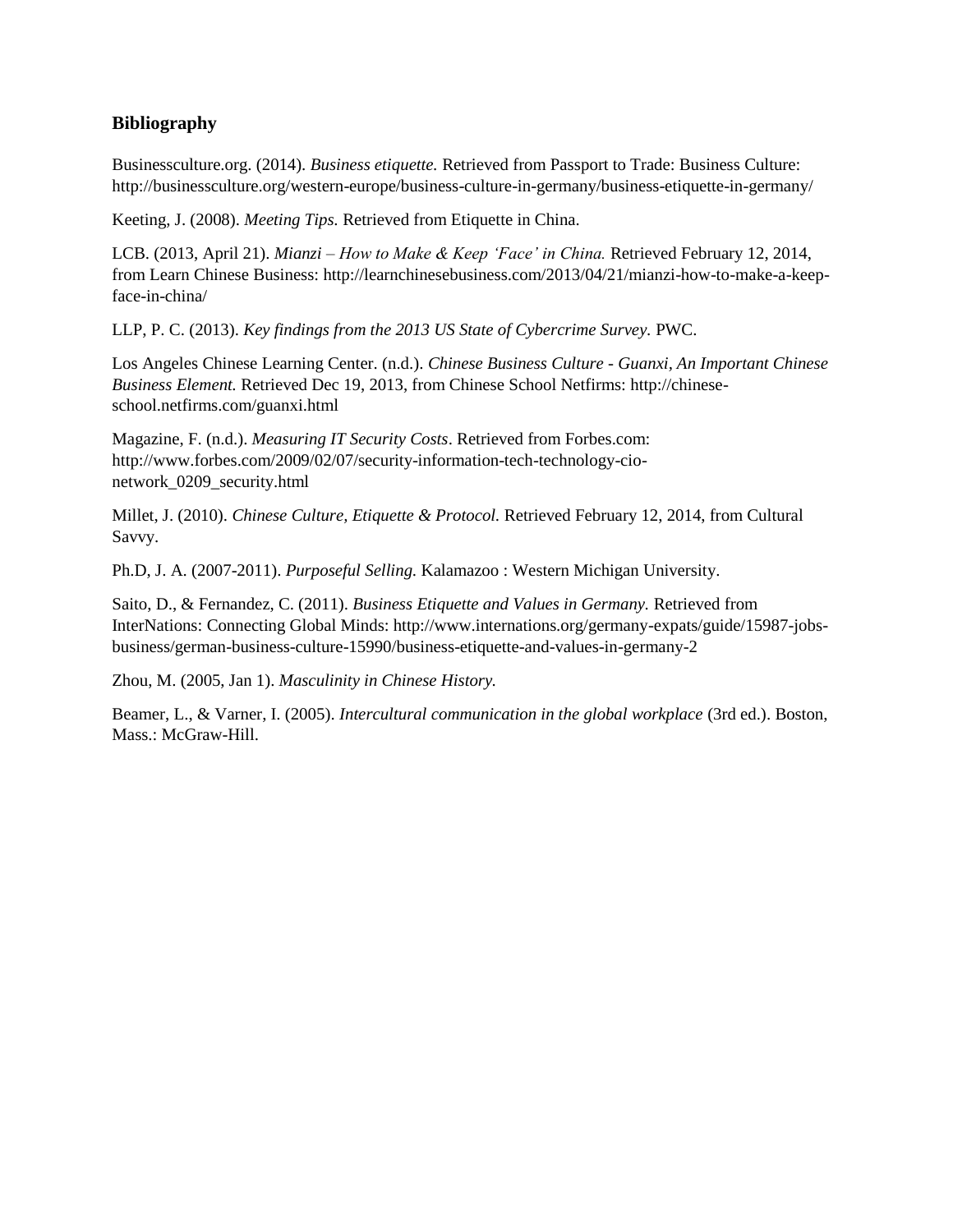#### **Bibliography**

Businessculture.org. (2014). *Business etiquette.* Retrieved from Passport to Trade: Business Culture: http://businessculture.org/western-europe/business-culture-in-germany/business-etiquette-in-germany/

Keeting, J. (2008). *Meeting Tips.* Retrieved from Etiquette in China.

LCB. (2013, April 21). *Mianzi – How to Make & Keep 'Face' in China.* Retrieved February 12, 2014, from Learn Chinese Business: http://learnchinesebusiness.com/2013/04/21/mianzi-how-to-make-a-keepface-in-china/

LLP, P. C. (2013). *Key findings from the 2013 US State of Cybercrime Survey.* PWC.

Los Angeles Chinese Learning Center. (n.d.). *Chinese Business Culture - Guanxi, An Important Chinese Business Element.* Retrieved Dec 19, 2013, from Chinese School Netfirms: http://chineseschool.netfirms.com/guanxi.html

Magazine, F. (n.d.). *Measuring IT Security Costs*. Retrieved from Forbes.com: http://www.forbes.com/2009/02/07/security-information-tech-technology-cionetwork\_0209\_security.html

Millet, J. (2010). *Chinese Culture, Etiquette & Protocol.* Retrieved February 12, 2014, from Cultural Savvy.

Ph.D, J. A. (2007-2011). *Purposeful Selling.* Kalamazoo : Western Michigan University.

Saito, D., & Fernandez, C. (2011). *Business Etiquette and Values in Germany.* Retrieved from InterNations: Connecting Global Minds: http://www.internations.org/germany-expats/guide/15987-jobsbusiness/german-business-culture-15990/business-etiquette-and-values-in-germany-2

Zhou, M. (2005, Jan 1). *Masculinity in Chinese History.*

Beamer, L., & Varner, I. (2005). *Intercultural communication in the global workplace* (3rd ed.). Boston, Mass.: McGraw-Hill.